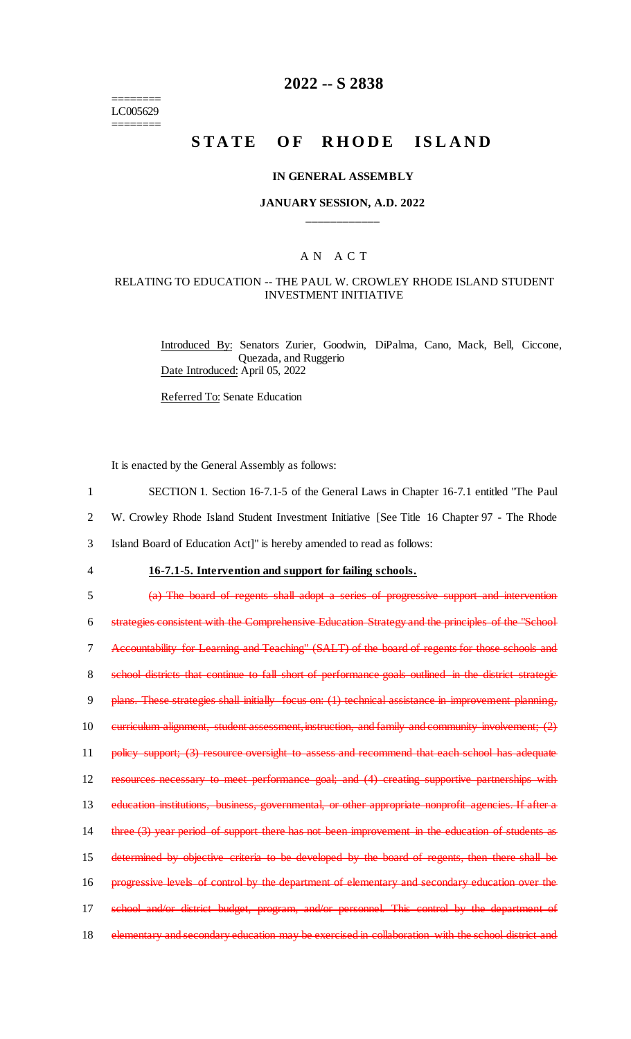======== LC005629 ========

## **2022 -- S 2838**

# STATE OF RHODE ISLAND

### **IN GENERAL ASSEMBLY**

### **JANUARY SESSION, A.D. 2022 \_\_\_\_\_\_\_\_\_\_\_\_**

### A N A C T

### RELATING TO EDUCATION -- THE PAUL W. CROWLEY RHODE ISLAND STUDENT INVESTMENT INITIATIVE

Introduced By: Senators Zurier, Goodwin, DiPalma, Cano, Mack, Bell, Ciccone, Quezada, and Ruggerio Date Introduced: April 05, 2022

Referred To: Senate Education

It is enacted by the General Assembly as follows:

- 1 SECTION 1. Section 16-7.1-5 of the General Laws in Chapter 16-7.1 entitled "The Paul
- 2 W. Crowley Rhode Island Student Investment Initiative [See Title 16 Chapter 97 The Rhode

3 Island Board of Education Act]" is hereby amended to read as follows:

4 **16-7.1-5. Intervention and support for failing schools.**

5 (a) The board of regents shall adopt a series of progressive support and intervention

6 strategies consistent with the Comprehensive Education Strategy and the principles of the "School 7 Accountability for Learning and Teaching" (SALT) of the board of regents for those schools and 8 school districts that continue to fall short of performance goals outlined in the district strategic 9 plans. These strategies shall initially focus on: (1) technical assistance in improvement planning, 10 curriculum alignment, student assessment, instruction, and family and community involvement; (2) 11 policy support; (3) resource oversight to assess and recommend that each school has adequate 12 resources necessary to meet performance goal; and (4) creating supportive partnerships with 13 education institutions, business, governmental, or other appropriate nonprofit agencies. If after a 14 three (3) year period of support there has not been improvement in the education of students as 15 determined by objective criteria to be developed by the board of regents, then there shall be 16 progressive levels of control by the department of elementary and secondary education over the 17 school and/or district budget, program, and/or personnel. This control by the department of 18 elementary and secondary education may be exercised in collaboration with the school district and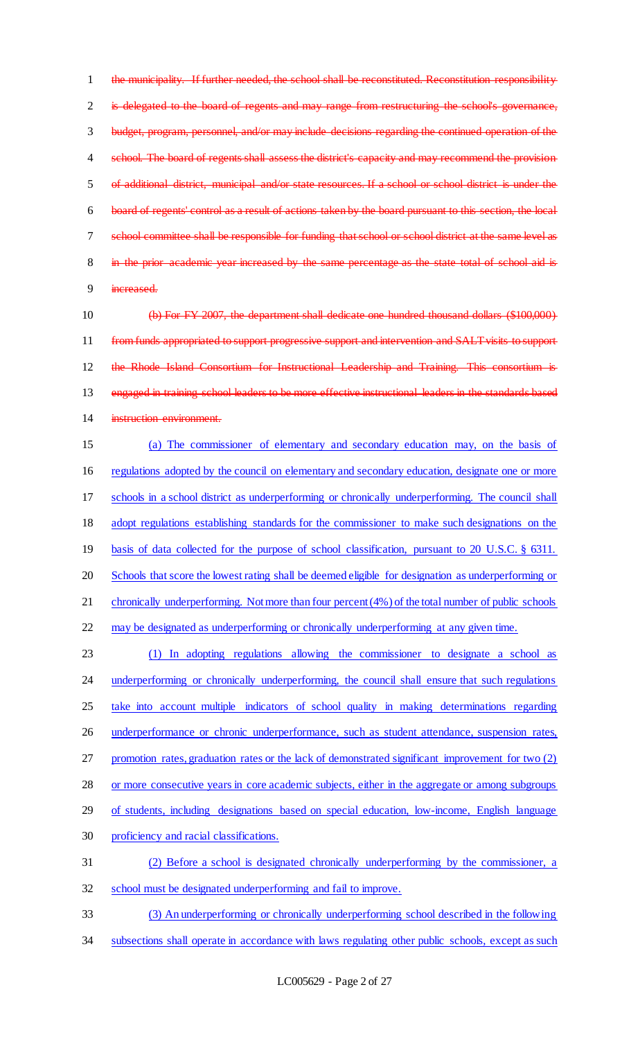the municipality. If further needed, the school shall be reconstituted. Reconstitution responsibility 2 is delegated to the board of regents and may range from restructuring the school's governance, budget, program, personnel, and/or may include decisions regarding the continued operation of the 4 school. The board of regents shall assess the district's capacity and may recommend the provision of additional district, municipal and/or state resources. If a school or school district is under the board of regents' control as a result of actions taken by the board pursuant to this section, the local school committee shall be responsible for funding that school or school district at the same level as in the prior academic year increased by the same percentage as the state total of school aid is increased.

 (b) For FY 2007, the department shall dedicate one hundred thousand dollars (\$100,000) 11 from funds appropriated to support progressive support and intervention and SALT visits to support the Rhode Island Consortium for Instructional Leadership and Training. This consortium is engaged in training school leaders to be more effective instructional leaders in the standards based instruction environment.

 (a) The commissioner of elementary and secondary education may, on the basis of regulations adopted by the council on elementary and secondary education, designate one or more schools in a school district as underperforming or chronically underperforming. The council shall adopt regulations establishing standards for the commissioner to make such designations on the basis of data collected for the purpose of school classification, pursuant to 20 U.S.C. § 6311. Schools that score the lowest rating shall be deemed eligible for designation as underperforming or chronically underperforming. Not more than four percent (4%) of the total number of public schools may be designated as underperforming or chronically underperforming at any given time.

 (1) In adopting regulations allowing the commissioner to designate a school as 24 underperforming or chronically underperforming, the council shall ensure that such regulations take into account multiple indicators of school quality in making determinations regarding 26 underperformance or chronic underperformance, such as student attendance, suspension rates, promotion rates, graduation rates or the lack of demonstrated significant improvement for two (2) or more consecutive years in core academic subjects, either in the aggregate or among subgroups of students, including designations based on special education, low-income, English language proficiency and racial classifications. (2) Before a school is designated chronically underperforming by the commissioner, a school must be designated underperforming and fail to improve.

 (3) An underperforming or chronically underperforming school described in the following 34 subsections shall operate in accordance with laws regulating other public schools, except as such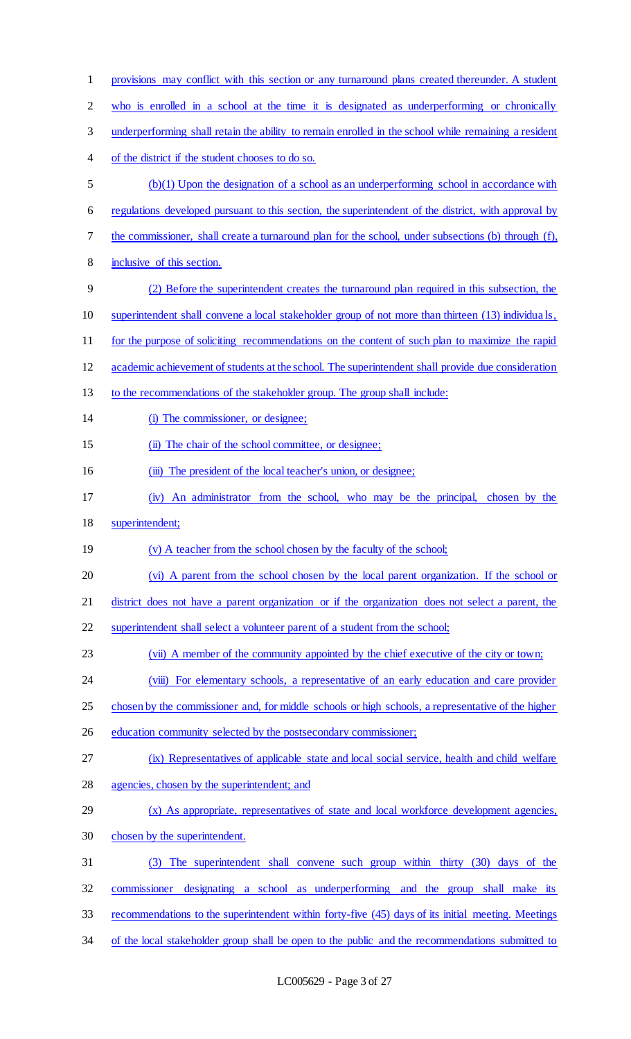| $\mathbf{1}$   | provisions may conflict with this section or any turnaround plans created thereunder. A student      |
|----------------|------------------------------------------------------------------------------------------------------|
| $\overline{c}$ | who is enrolled in a school at the time it is designated as underperforming or chronically           |
| 3              | underperforming shall retain the ability to remain enrolled in the school while remaining a resident |
| 4              | of the district if the student chooses to do so.                                                     |
| 5              | $(b)(1)$ Upon the designation of a school as an underperforming school in accordance with            |
| 6              | regulations developed pursuant to this section, the superintendent of the district, with approval by |
| 7              | the commissioner, shall create a turnaround plan for the school, under subsections (b) through (f),  |
| 8              | inclusive of this section.                                                                           |
| 9              | (2) Before the superintendent creates the turnaround plan required in this subsection, the           |
| 10             | superintendent shall convene a local stakeholder group of not more than thirteen (13) individuals,   |
| 11             | for the purpose of soliciting recommendations on the content of such plan to maximize the rapid      |
| 12             | academic achievement of students at the school. The superintendent shall provide due consideration   |
| 13             | to the recommendations of the stakeholder group. The group shall include:                            |
| 14             | (i) The commissioner, or designee;                                                                   |
| 15             | (ii) The chair of the school committee, or designee;                                                 |
| 16             | (iii) The president of the local teacher's union, or designee;                                       |
| 17             | (iv) An administrator from the school, who may be the principal, chosen by the                       |
| 18             | superintendent;                                                                                      |
| 19             | (v) A teacher from the school chosen by the faculty of the school;                                   |
| 20             | (vi) A parent from the school chosen by the local parent organization. If the school or              |
| 21             | district does not have a parent organization or if the organization does not select a parent, the    |
| 22             | superintendent shall select a volunteer parent of a student from the school;                         |
| 23             | (vii) A member of the community appointed by the chief executive of the city or town;                |
| 24             | (viii) For elementary schools, a representative of an early education and care provider              |
| 25             | chosen by the commissioner and, for middle schools or high schools, a representative of the higher   |
| 26             | education community selected by the postsecondary commissioner;                                      |
| 27             | (ix) Representatives of applicable state and local social service, health and child welfare          |
| 28             | agencies, chosen by the superintendent; and                                                          |
| 29             | (x) As appropriate, representatives of state and local workforce development agencies,               |
| 30             | chosen by the superintendent.                                                                        |
| 31             | The superintendent shall convene such group within thirty (30) days of the<br>(3)                    |
| 32             | designating a school as underperforming and the group shall make its<br>commissioner                 |
| 33             |                                                                                                      |
|                | recommendations to the superintendent within forty-five (45) days of its initial meeting. Meetings   |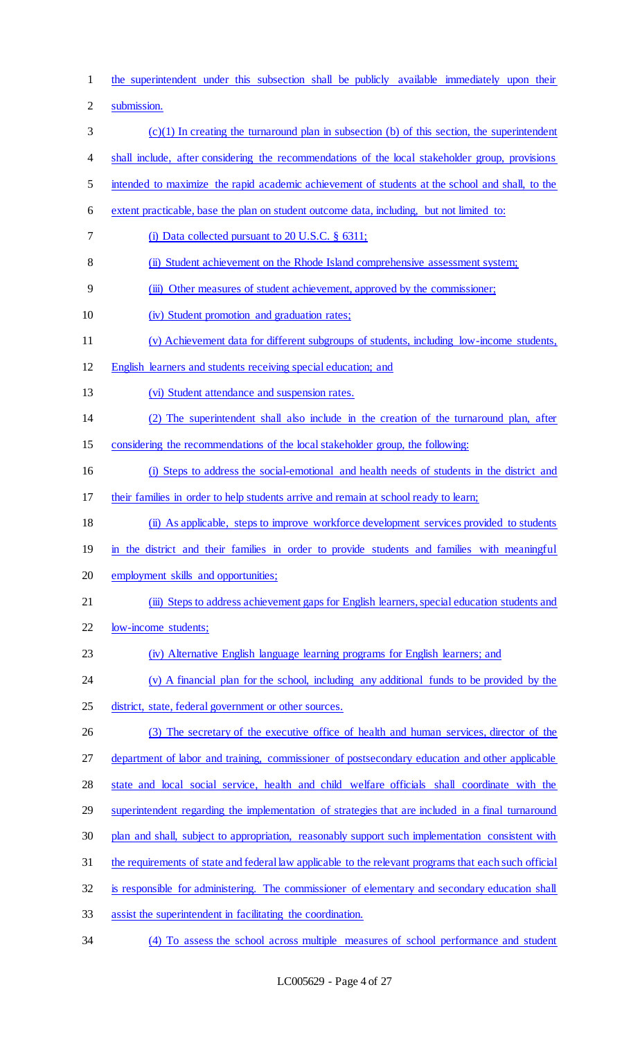the superintendent under this subsection shall be publicly available immediately upon their submission. (c)(1) In creating the turnaround plan in subsection (b) of this section, the superintendent shall include, after considering the recommendations of the local stakeholder group, provisions intended to maximize the rapid academic achievement of students at the school and shall, to the extent practicable, base the plan on student outcome data, including, but not limited to: (i) Data collected pursuant to 20 U.S.C. § 6311; (ii) Student achievement on the Rhode Island comprehensive assessment system; (iii) Other measures of student achievement, approved by the commissioner; (iv) Student promotion and graduation rates; (v) Achievement data for different subgroups of students, including low-income students, English learners and students receiving special education; and (vi) Student attendance and suspension rates. (2) The superintendent shall also include in the creation of the turnaround plan, after considering the recommendations of the local stakeholder group, the following: (i) Steps to address the social-emotional and health needs of students in the district and their families in order to help students arrive and remain at school ready to learn; (ii) As applicable, steps to improve workforce development services provided to students 19 in the district and their families in order to provide students and families with meaningful employment skills and opportunities; (iii) Steps to address achievement gaps for English learners, special education students and low-income students; (iv) Alternative English language learning programs for English learners; and (v) A financial plan for the school, including any additional funds to be provided by the district, state, federal government or other sources. (3) The secretary of the executive office of health and human services, director of the 27 department of labor and training, commissioner of postsecondary education and other applicable state and local social service, health and child welfare officials shall coordinate with the superintendent regarding the implementation of strategies that are included in a final turnaround plan and shall, subject to appropriation, reasonably support such implementation consistent with the requirements of state and federal law applicable to the relevant programs that each such official is responsible for administering. The commissioner of elementary and secondary education shall assist the superintendent in facilitating the coordination. (4) To assess the school across multiple measures of school performance and student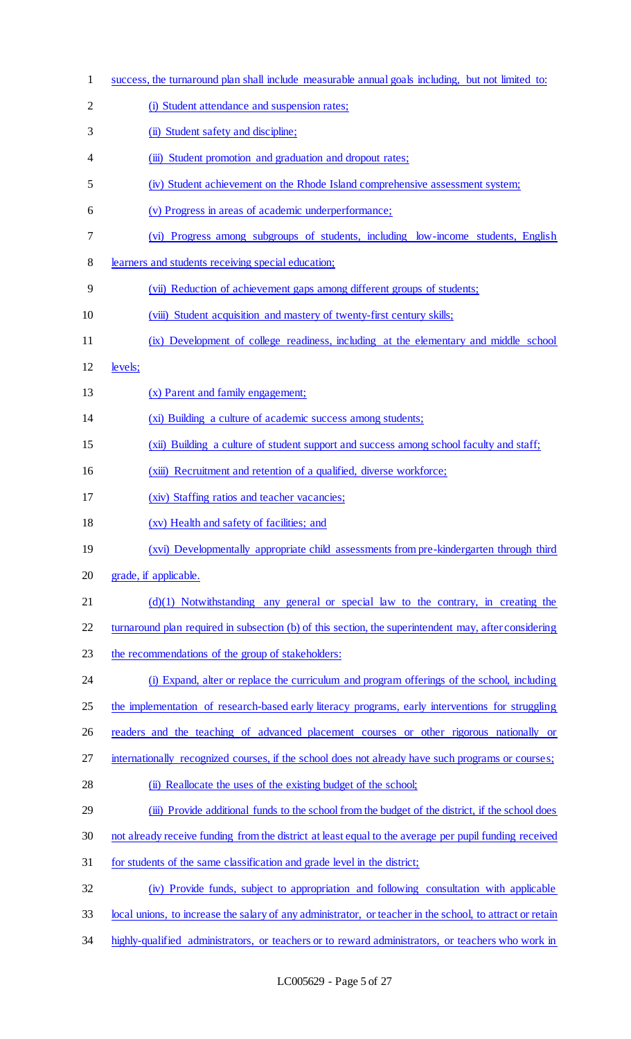| $\mathbf{1}$   | success, the turnaround plan shall include measurable annual goals including, but not limited to:         |
|----------------|-----------------------------------------------------------------------------------------------------------|
| $\overline{2}$ | (i) Student attendance and suspension rates;                                                              |
| 3              | (ii) Student safety and discipline;                                                                       |
| 4              | (iii) Student promotion and graduation and dropout rates;                                                 |
| 5              | (iv) Student achievement on the Rhode Island comprehensive assessment system;                             |
| 6              | (v) Progress in areas of academic underperformance;                                                       |
| 7              | (vi) Progress among subgroups of students, including low-income students, English                         |
| 8              | learners and students receiving special education;                                                        |
| 9              | (vii) Reduction of achievement gaps among different groups of students;                                   |
| 10             | (viii) Student acquisition and mastery of twenty-first century skills;                                    |
| 11             | (ix) Development of college readiness, including at the elementary and middle school                      |
| 12             | levels;                                                                                                   |
| 13             | (x) Parent and family engagement;                                                                         |
| 14             | (xi) Building a culture of academic success among students;                                               |
| 15             | (xii) Building a culture of student support and success among school faculty and staff;                   |
| 16             | (xiii) Recruitment and retention of a qualified, diverse workforce;                                       |
| 17             | (xiv) Staffing ratios and teacher vacancies;                                                              |
| 18             | (xv) Health and safety of facilities; and                                                                 |
| 19             | (xvi) Developmentally appropriate child assessments from pre-kindergarten through third                   |
| 20             | grade, if applicable.                                                                                     |
| 21             | $(d)(1)$ Notwithstanding any general or special law to the contrary, in creating the                      |
| 22             | turnaround plan required in subsection (b) of this section, the superintendent may, after considering     |
| 23             | the recommendations of the group of stakeholders:                                                         |
| 24             | (i) Expand, alter or replace the curriculum and program offerings of the school, including                |
| 25             | the implementation of research-based early literacy programs, early interventions for struggling          |
| 26             | readers and the teaching of advanced placement courses or other rigorous nationally or                    |
| 27             | internationally recognized courses, if the school does not already have such programs or courses;         |
| 28             | (ii) Reallocate the uses of the existing budget of the school;                                            |
| 29             | (iii) Provide additional funds to the school from the budget of the district, if the school does          |
| 30             | not already receive funding from the district at least equal to the average per pupil funding received    |
| 31             | for students of the same classification and grade level in the district;                                  |
| 32             | (iv) Provide funds, subject to appropriation and following consultation with applicable                   |
| 33             | local unions, to increase the salary of any administrator, or teacher in the school, to attract or retain |
| 34             | highly-qualified administrators, or teachers or to reward administrators, or teachers who work in         |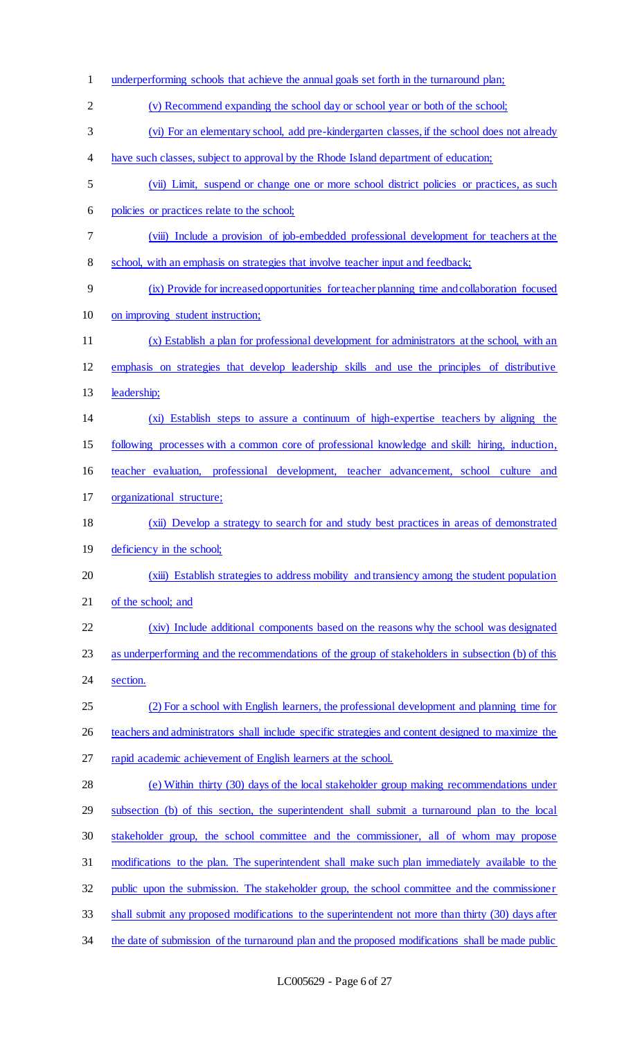| $\mathbf{1}$   | underperforming schools that achieve the annual goals set forth in the turnaround plan;            |
|----------------|----------------------------------------------------------------------------------------------------|
| $\overline{2}$ | (v) Recommend expanding the school day or school year or both of the school;                       |
| 3              | (vi) For an elementary school, add pre-kindergarten classes, if the school does not already        |
| 4              | have such classes, subject to approval by the Rhode Island department of education;                |
| 5              | (vii) Limit, suspend or change one or more school district policies or practices, as such          |
| 6              | policies or practices relate to the school;                                                        |
| 7              | (viii) Include a provision of job-embedded professional development for teachers at the            |
| 8              | school, with an emphasis on strategies that involve teacher input and feedback;                    |
| 9              | (ix) Provide for increased opportunities for teacher planning time and collaboration focused       |
| 10             | on improving student instruction;                                                                  |
| 11             | (x) Establish a plan for professional development for administrators at the school, with an        |
| 12             | emphasis on strategies that develop leadership skills and use the principles of distributive       |
| 13             | leadership;                                                                                        |
| 14             | (xi) Establish steps to assure a continuum of high-expertise teachers by aligning the              |
| 15             | following processes with a common core of professional knowledge and skill: hiring, induction,     |
| 16             | teacher evaluation, professional development, teacher advancement, school culture and              |
| 17             | organizational structure;                                                                          |
| 18             | (xii) Develop a strategy to search for and study best practices in areas of demonstrated           |
| 19             | deficiency in the school;                                                                          |
| 20             | (xiii) Establish strategies to address mobility and transiency among the student population        |
| 21             | of the school; and                                                                                 |
| 22             | (xiv) Include additional components based on the reasons why the school was designated             |
| 23             | as underperforming and the recommendations of the group of stakeholders in subsection (b) of this  |
| 24             | section.                                                                                           |
| 25             | (2) For a school with English learners, the professional development and planning time for         |
| 26             | teachers and administrators shall include specific strategies and content designed to maximize the |
| 27             | rapid academic achievement of English learners at the school.                                      |
| 28             | (e) Within thirty (30) days of the local stakeholder group making recommendations under            |
| 29             | subsection (b) of this section, the superintendent shall submit a turnaround plan to the local     |
| 30             | stakeholder group, the school committee and the commissioner, all of whom may propose              |
| 31             | modifications to the plan. The superintendent shall make such plan immediately available to the    |
| 32             | public upon the submission. The stakeholder group, the school committee and the commissioner       |
| 33             | shall submit any proposed modifications to the superintendent not more than thirty (30) days after |
| 34             | the date of submission of the turnaround plan and the proposed modifications shall be made public  |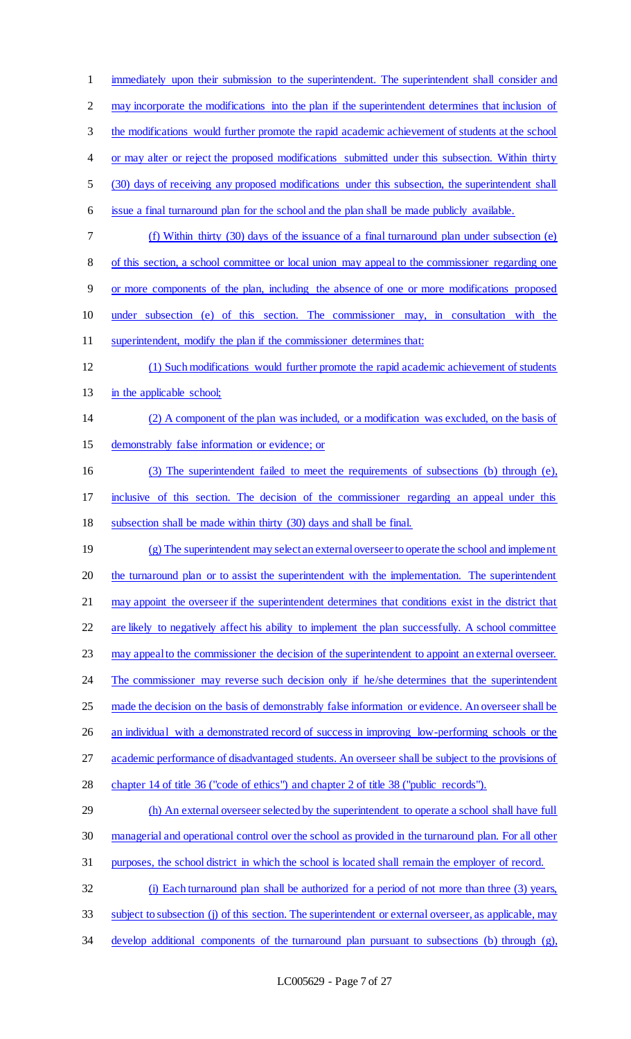immediately upon their submission to the superintendent. The superintendent shall consider and may incorporate the modifications into the plan if the superintendent determines that inclusion of 3 the modifications would further promote the rapid academic achievement of students at the school 4 or may alter or reject the proposed modifications submitted under this subsection. Within thirty (30) days of receiving any proposed modifications under this subsection, the superintendent shall issue a final turnaround plan for the school and the plan shall be made publicly available. (f) Within thirty (30) days of the issuance of a final turnaround plan under subsection (e) of this section, a school committee or local union may appeal to the commissioner regarding one or more components of the plan, including the absence of one or more modifications proposed under subsection (e) of this section. The commissioner may, in consultation with the superintendent, modify the plan if the commissioner determines that: (1) Such modifications would further promote the rapid academic achievement of students 13 in the applicable school; (2) A component of the plan was included, or a modification was excluded, on the basis of demonstrably false information or evidence; or (3) The superintendent failed to meet the requirements of subsections (b) through (e), inclusive of this section. The decision of the commissioner regarding an appeal under this subsection shall be made within thirty (30) days and shall be final. (g) The superintendent may select an external overseer to operate the school and implement 20 the turnaround plan or to assist the superintendent with the implementation. The superintendent may appoint the overseer if the superintendent determines that conditions exist in the district that are likely to negatively affect his ability to implement the plan successfully. A school committee may appeal to the commissioner the decision of the superintendent to appoint an external overseer. 24 The commissioner may reverse such decision only if he/she determines that the superintendent 25 made the decision on the basis of demonstrably false information or evidence. An overseer shall be 26 an individual with a demonstrated record of success in improving low-performing schools or the academic performance of disadvantaged students. An overseer shall be subject to the provisions of chapter 14 of title 36 ("code of ethics") and chapter 2 of title 38 ("public records"). 29 (h) An external overseer selected by the superintendent to operate a school shall have full managerial and operational control over the school as provided in the turnaround plan. For all other purposes, the school district in which the school is located shall remain the employer of record. (i) Each turnaround plan shall be authorized for a period of not more than three (3) years, subject to subsection (j) of this section. The superintendent or external overseer, as applicable, may develop additional components of the turnaround plan pursuant to subsections (b) through (g),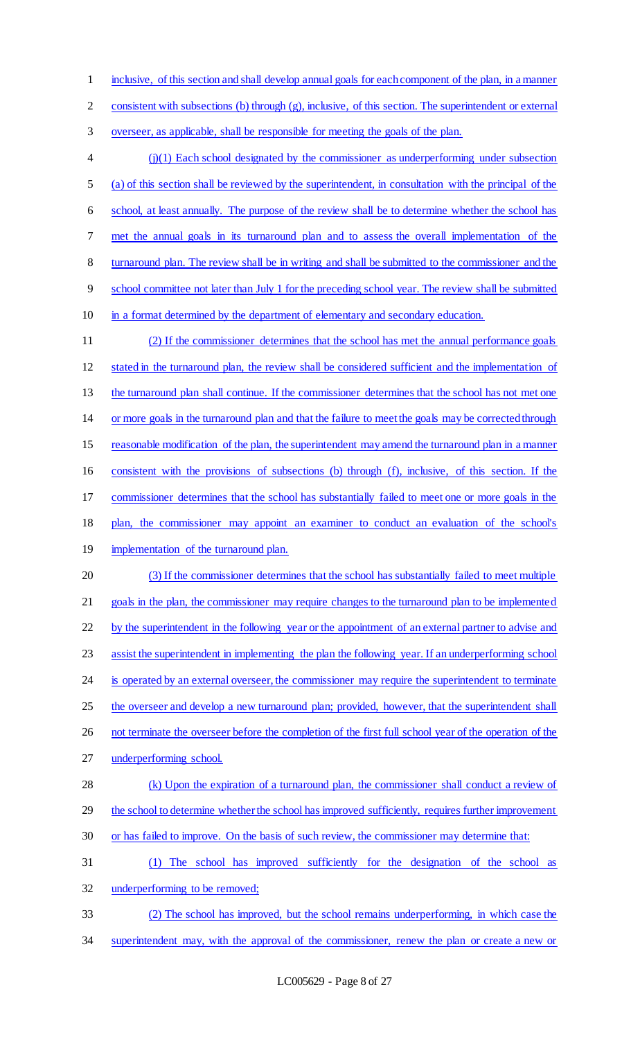inclusive, of this section and shall develop annual goals for each component of the plan, in a manner

consistent with subsections (b) through (g), inclusive, of this section. The superintendent or external

overseer, as applicable, shall be responsible for meeting the goals of the plan.

 (j)(1) Each school designated by the commissioner as underperforming under subsection (a) of this section shall be reviewed by the superintendent, in consultation with the principal of the school, at least annually. The purpose of the review shall be to determine whether the school has met the annual goals in its turnaround plan and to assess the overall implementation of the turnaround plan. The review shall be in writing and shall be submitted to the commissioner and the school committee not later than July 1 for the preceding school year. The review shall be submitted in a format determined by the department of elementary and secondary education.

 (2) If the commissioner determines that the school has met the annual performance goals stated in the turnaround plan, the review shall be considered sufficient and the implementation of the turnaround plan shall continue. If the commissioner determines that the school has not met one or more goals in the turnaround plan and that the failure to meet the goals may be corrected through reasonable modification of the plan, the superintendent may amend the turnaround plan in a manner consistent with the provisions of subsections (b) through (f), inclusive, of this section. If the commissioner determines that the school has substantially failed to meet one or more goals in the 18 plan, the commissioner may appoint an examiner to conduct an evaluation of the school's 19 implementation of the turnaround plan. (3) If the commissioner determines that the school has substantially failed to meet multiple goals in the plan, the commissioner may require changes to the turnaround plan to be implemented 22 by the superintendent in the following year or the appointment of an external partner to advise and assist the superintendent in implementing the plan the following year. If an underperforming school 24 is operated by an external overseer, the commissioner may require the superintendent to terminate 25 the overseer and develop a new turnaround plan; provided, however, that the superintendent shall 26 not terminate the overseer before the completion of the first full school year of the operation of the underperforming school. (k) Upon the expiration of a turnaround plan, the commissioner shall conduct a review of 29 the school to determine whether the school has improved sufficiently, requires further improvement 30 or has failed to improve. On the basis of such review, the commissioner may determine that: (1) The school has improved sufficiently for the designation of the school as underperforming to be removed;

- (2) The school has improved, but the school remains underperforming, in which case the
- 34 superintendent may, with the approval of the commissioner, renew the plan or create a new or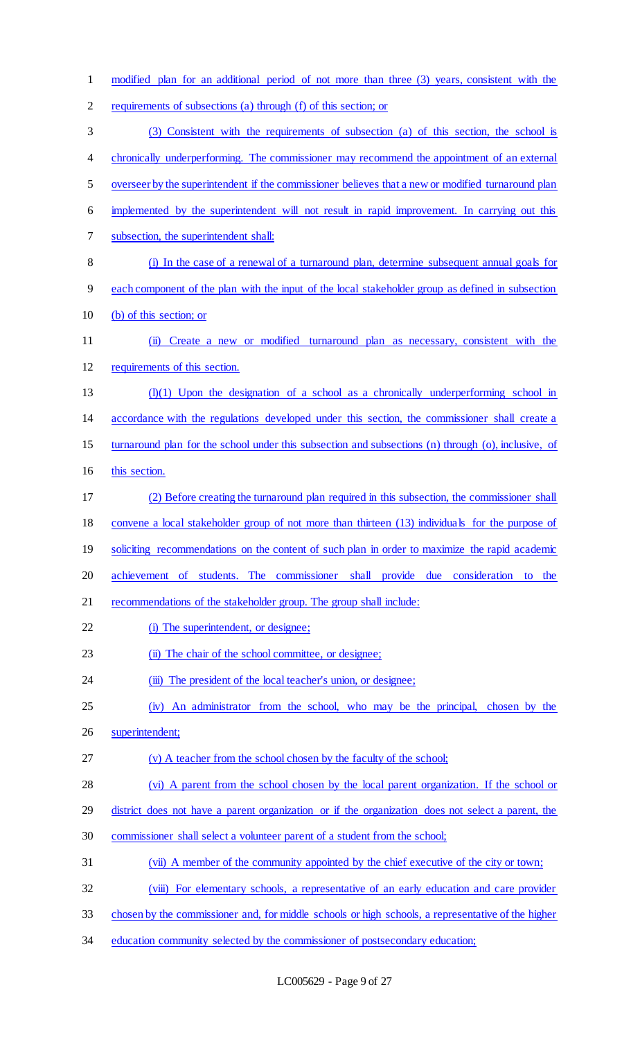modified plan for an additional period of not more than three (3) years, consistent with the requirements of subsections (a) through (f) of this section; or (3) Consistent with the requirements of subsection (a) of this section, the school is 4 chronically underperforming. The commissioner may recommend the appointment of an external overseer by the superintendent if the commissioner believes that a new or modified turnaround plan implemented by the superintendent will not result in rapid improvement. In carrying out this subsection, the superintendent shall: (i) In the case of a renewal of a turnaround plan, determine subsequent annual goals for each component of the plan with the input of the local stakeholder group as defined in subsection (b) of this section; or (ii) Create a new or modified turnaround plan as necessary, consistent with the requirements of this section. (l)(1) Upon the designation of a school as a chronically underperforming school in accordance with the regulations developed under this section, the commissioner shall create a turnaround plan for the school under this subsection and subsections (n) through (o), inclusive, of this section. (2) Before creating the turnaround plan required in this subsection, the commissioner shall convene a local stakeholder group of not more than thirteen (13) individuals for the purpose of 19 soliciting recommendations on the content of such plan in order to maximize the rapid academic achievement of students. The commissioner shall provide due consideration to the recommendations of the stakeholder group. The group shall include: 22 (i) The superintendent, or designee; 23 (ii) The chair of the school committee, or designee; 24 (iii) The president of the local teacher's union, or designee; (iv) An administrator from the school, who may be the principal, chosen by the superintendent; (v) A teacher from the school chosen by the faculty of the school; (vi) A parent from the school chosen by the local parent organization. If the school or 29 district does not have a parent organization or if the organization does not select a parent, the commissioner shall select a volunteer parent of a student from the school; (vii) A member of the community appointed by the chief executive of the city or town; (viii) For elementary schools, a representative of an early education and care provider chosen by the commissioner and, for middle schools or high schools, a representative of the higher 34 education community selected by the commissioner of postsecondary education;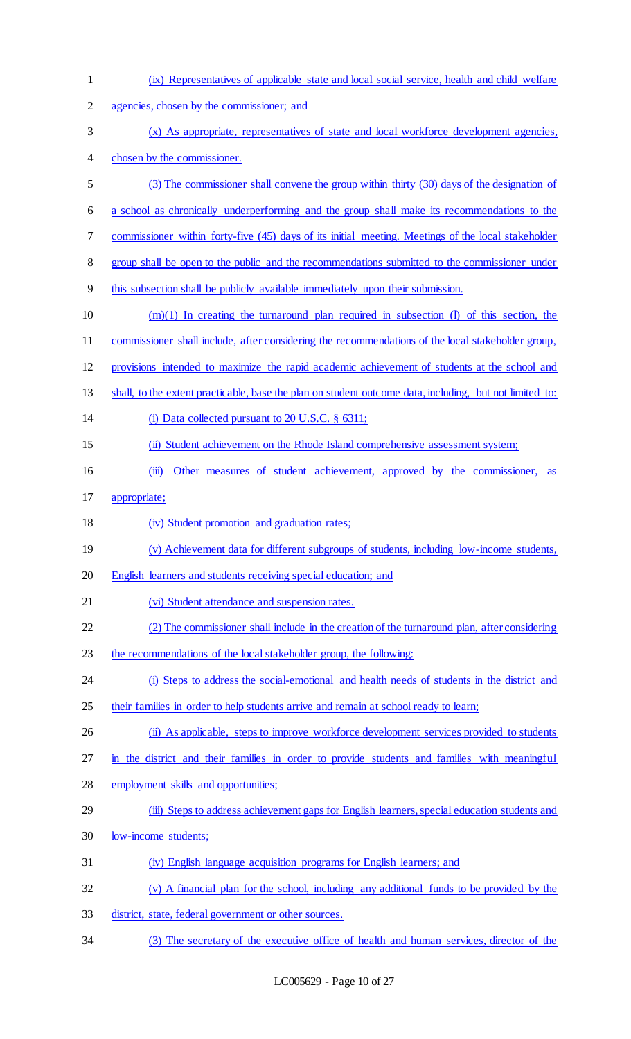| 1              | (ix) Representatives of applicable state and local social service, health and child welfare             |
|----------------|---------------------------------------------------------------------------------------------------------|
| $\overline{2}$ | agencies, chosen by the commissioner; and                                                               |
| 3              | (x) As appropriate, representatives of state and local workforce development agencies,                  |
| 4              | chosen by the commissioner.                                                                             |
| 5              | (3) The commissioner shall convene the group within thirty (30) days of the designation of              |
| 6              | a school as chronically underperforming and the group shall make its recommendations to the             |
| 7              | commissioner within forty-five (45) days of its initial meeting. Meetings of the local stakeholder      |
| 8              | group shall be open to the public and the recommendations submitted to the commissioner under           |
| 9              | this subsection shall be publicly available immediately upon their submission.                          |
| 10             | $(m)(1)$ In creating the turnaround plan required in subsection (I) of this section, the                |
| 11             | commissioner shall include, after considering the recommendations of the local stakeholder group,       |
| 12             | provisions intended to maximize the rapid academic achievement of students at the school and            |
| 13             | shall, to the extent practicable, base the plan on student outcome data, including, but not limited to: |
| 14             | (i) Data collected pursuant to $20$ U.S.C. $\S$ 6311;                                                   |
| 15             | (ii) Student achievement on the Rhode Island comprehensive assessment system;                           |
| 16             | Other measures of student achievement, approved by the commissioner,<br>$\overline{(\mathbf{m})}$<br>as |
| 17             | appropriate;                                                                                            |
| 18             | (iv) Student promotion and graduation rates;                                                            |
| 19             | (v) Achievement data for different subgroups of students, including low-income students,                |
| 20             | English learners and students receiving special education; and                                          |
| 21             | (vi) Student attendance and suspension rates.                                                           |
| 22             | (2) The commissioner shall include in the creation of the turnaround plan, after considering            |
| 23             | the recommendations of the local stakeholder group, the following:                                      |
| 24             | (i) Steps to address the social-emotional and health needs of students in the district and              |
| 25             | their families in order to help students arrive and remain at school ready to learn;                    |
| 26             | (ii) As applicable, steps to improve workforce development services provided to students                |
| 27             | in the district and their families in order to provide students and families with meaningful            |
| 28             | employment skills and opportunities;                                                                    |
| 29             | (iii) Steps to address achievement gaps for English learners, special education students and            |
| 30             | low-income students;                                                                                    |
| 31             | (iv) English language acquisition programs for English learners; and                                    |
| 32             | (v) A financial plan for the school, including any additional funds to be provided by the               |
| 33             | district, state, federal government or other sources.                                                   |
| 34             | (3) The secretary of the executive office of health and human services, director of the                 |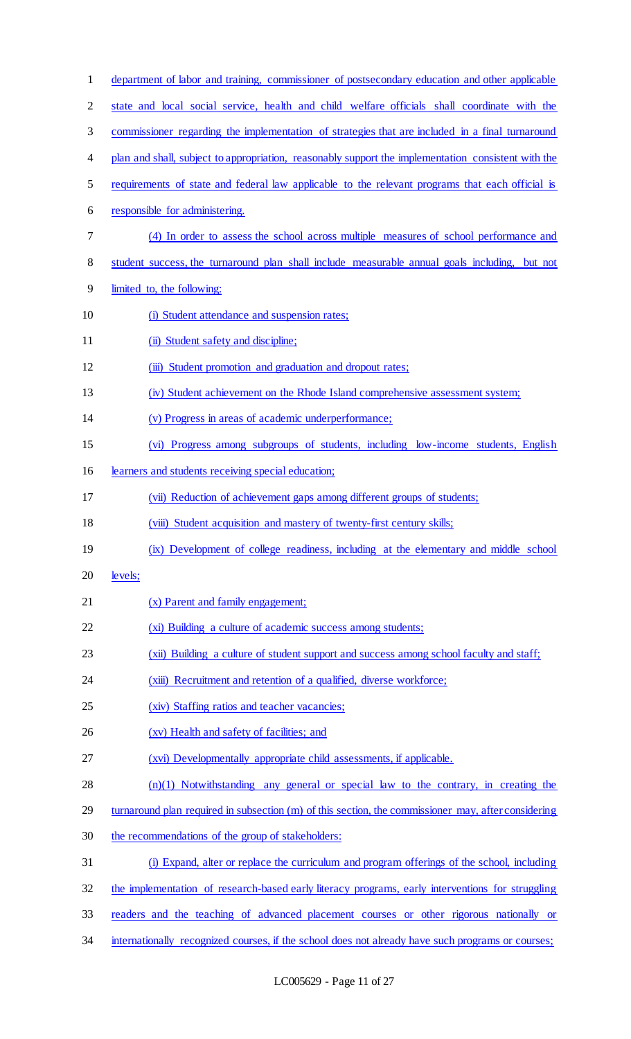| $\mathbf{1}$   | department of labor and training, commissioner of postsecondary education and other applicable      |
|----------------|-----------------------------------------------------------------------------------------------------|
| $\overline{c}$ | state and local social service, health and child welfare officials shall coordinate with the        |
| 3              | commissioner regarding the implementation of strategies that are included in a final turnaround     |
| 4              | plan and shall, subject to appropriation, reasonably support the implementation consistent with the |
| 5              | requirements of state and federal law applicable to the relevant programs that each official is     |
| 6              | responsible for administering.                                                                      |
| 7              | (4) In order to assess the school across multiple measures of school performance and                |
| 8              | student success, the turnaround plan shall include measurable annual goals including, but not       |
| 9              | limited to, the following:                                                                          |
| 10             | (i) Student attendance and suspension rates;                                                        |
| 11             | (ii) Student safety and discipline;                                                                 |
| 12             | (iii) Student promotion and graduation and dropout rates;                                           |
| 13             | (iv) Student achievement on the Rhode Island comprehensive assessment system;                       |
| 14             | (v) Progress in areas of academic underperformance;                                                 |
| 15             | (vi) Progress among subgroups of students, including low-income students, English                   |
| 16             | learners and students receiving special education;                                                  |
| 17             | (vii) Reduction of achievement gaps among different groups of students;                             |
| 18             | (viii) Student acquisition and mastery of twenty-first century skills;                              |
| 19             | (ix) Development of college readiness, including at the elementary and middle school                |
| 20             | levels;                                                                                             |
| 21             | (x) Parent and family engagement;                                                                   |
| 22             | (xi) Building a culture of academic success among students;                                         |
| 23             | (xii) Building a culture of student support and success among school faculty and staff;             |
| 24             | (xiii) Recruitment and retention of a qualified, diverse workforce;                                 |
| 25             | (xiv) Staffing ratios and teacher vacancies;                                                        |
| 26             | (xv) Health and safety of facilities; and                                                           |
| 27             | (xvi) Developmentally appropriate child assessments, if applicable.                                 |
| 28             | $(n)(1)$ Notwithstanding any general or special law to the contrary, in creating the                |
| 29             | turnaround plan required in subsection (m) of this section, the commissioner may, after considering |
| 30             | the recommendations of the group of stakeholders:                                                   |
| 31             | (i) Expand, alter or replace the curriculum and program offerings of the school, including          |
| 32             | the implementation of research-based early literacy programs, early interventions for struggling    |
| 33             | readers and the teaching of advanced placement courses or other rigorous nationally or              |
| 34             | internationally recognized courses, if the school does not already have such programs or courses;   |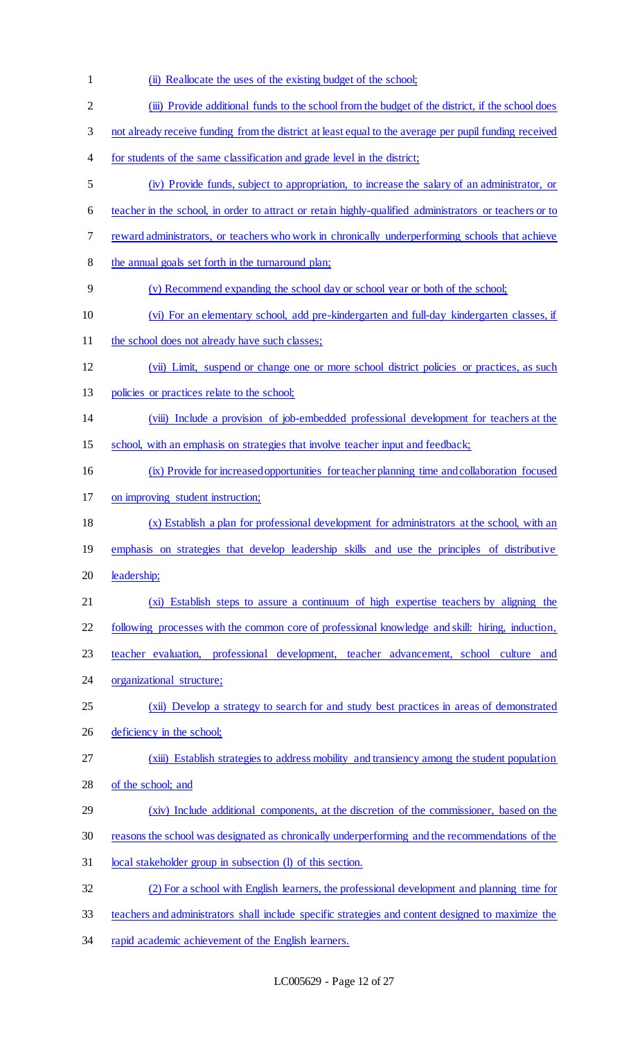(ii) Reallocate the uses of the existing budget of the school; (iii) Provide additional funds to the school from the budget of the district, if the school does not already receive funding from the district at least equal to the average per pupil funding received for students of the same classification and grade level in the district; (iv) Provide funds, subject to appropriation, to increase the salary of an administrator, or teacher in the school, in order to attract or retain highly-qualified administrators or teachers or to reward administrators, or teachers who work in chronically underperforming schools that achieve 8 the annual goals set forth in the turnaround plan; (v) Recommend expanding the school day or school year or both of the school; (vi) For an elementary school, add pre-kindergarten and full-day kindergarten classes, if 11 the school does not already have such classes; (vii) Limit, suspend or change one or more school district policies or practices, as such policies or practices relate to the school; (viii) Include a provision of job-embedded professional development for teachers at the school, with an emphasis on strategies that involve teacher input and feedback; (ix) Provide for increased opportunities for teacher planning time and collaboration focused on improving student instruction; (x) Establish a plan for professional development for administrators at the school, with an emphasis on strategies that develop leadership skills and use the principles of distributive 20 leadership; (xi) Establish steps to assure a continuum of high expertise teachers by aligning the following processes with the common core of professional knowledge and skill: hiring, induction, teacher evaluation, professional development, teacher advancement, school culture and organizational structure; 25 (xii) Develop a strategy to search for and study best practices in areas of demonstrated 26 deficiency in the school; 27 (xiii) Establish strategies to address mobility and transiency among the student population of the school; and (xiv) Include additional components, at the discretion of the commissioner, based on the reasons the school was designated as chronically underperforming and the recommendations of the local stakeholder group in subsection (l) of this section. (2) For a school with English learners, the professional development and planning time for teachers and administrators shall include specific strategies and content designed to maximize the 34 rapid academic achievement of the English learners.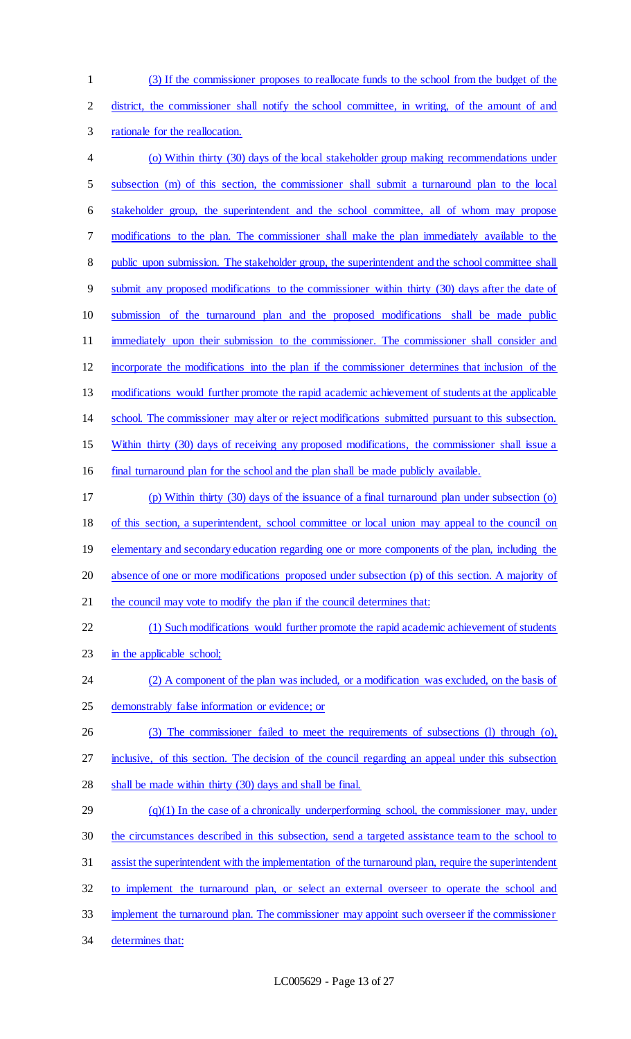(3) If the commissioner proposes to reallocate funds to the school from the budget of the

district, the commissioner shall notify the school committee, in writing, of the amount of and

rationale for the reallocation.

 (o) Within thirty (30) days of the local stakeholder group making recommendations under subsection (m) of this section, the commissioner shall submit a turnaround plan to the local stakeholder group, the superintendent and the school committee, all of whom may propose modifications to the plan. The commissioner shall make the plan immediately available to the 8 public upon submission. The stakeholder group, the superintendent and the school committee shall submit any proposed modifications to the commissioner within thirty (30) days after the date of submission of the turnaround plan and the proposed modifications shall be made public 11 immediately upon their submission to the commissioner. The commissioner shall consider and incorporate the modifications into the plan if the commissioner determines that inclusion of the modifications would further promote the rapid academic achievement of students at the applicable school. The commissioner may alter or reject modifications submitted pursuant to this subsection. Within thirty (30) days of receiving any proposed modifications, the commissioner shall issue a final turnaround plan for the school and the plan shall be made publicly available. (p) Within thirty (30) days of the issuance of a final turnaround plan under subsection (o) of this section, a superintendent, school committee or local union may appeal to the council on 19 elementary and secondary education regarding one or more components of the plan, including the absence of one or more modifications proposed under subsection (p) of this section. A majority of 21 the council may vote to modify the plan if the council determines that: (1) Such modifications would further promote the rapid academic achievement of students 23 in the applicable school; (2) A component of the plan was included, or a modification was excluded, on the basis of demonstrably false information or evidence; or (3) The commissioner failed to meet the requirements of subsections (l) through (o), 27 inclusive, of this section. The decision of the council regarding an appeal under this subsection shall be made within thirty (30) days and shall be final. (q)(1) In the case of a chronically underperforming school, the commissioner may, under the circumstances described in this subsection, send a targeted assistance team to the school to assist the superintendent with the implementation of the turnaround plan, require the superintendent to implement the turnaround plan, or select an external overseer to operate the school and 33 implement the turnaround plan. The commissioner may appoint such overseer if the commissioner determines that: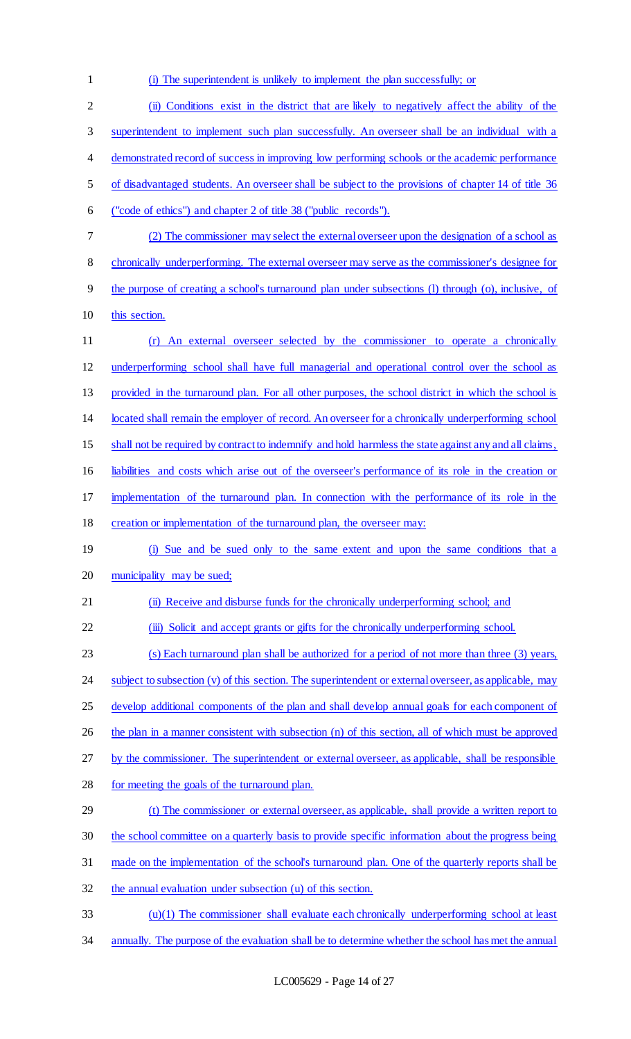(i) The superintendent is unlikely to implement the plan successfully; or (ii) Conditions exist in the district that are likely to negatively affect the ability of the superintendent to implement such plan successfully. An overseer shall be an individual with a demonstrated record of success in improving low performing schools or the academic performance of disadvantaged students. An overseer shall be subject to the provisions of chapter 14 of title 36 ("code of ethics") and chapter 2 of title 38 ("public records"). (2) The commissioner may select the external overseer upon the designation of a school as chronically underperforming. The external overseer may serve as the commissioner's designee for the purpose of creating a school's turnaround plan under subsections (l) through (o), inclusive, of this section. (r) An external overseer selected by the commissioner to operate a chronically underperforming school shall have full managerial and operational control over the school as provided in the turnaround plan. For all other purposes, the school district in which the school is located shall remain the employer of record. An overseer for a chronically underperforming school 15 shall not be required by contract to indemnify and hold harmless the state against any and all claims, liabilities and costs which arise out of the overseer's performance of its role in the creation or implementation of the turnaround plan. In connection with the performance of its role in the creation or implementation of the turnaround plan, the overseer may: 19 (i) Sue and be sued only to the same extent and upon the same conditions that a municipality may be sued; (ii) Receive and disburse funds for the chronically underperforming school; and 22 (iii) Solicit and accept grants or gifts for the chronically underperforming school. (s) Each turnaround plan shall be authorized for a period of not more than three (3) years, 24 subject to subsection (v) of this section. The superintendent or external overseer, as applicable, may 25 develop additional components of the plan and shall develop annual goals for each component of 26 the plan in a manner consistent with subsection (n) of this section, all of which must be approved by the commissioner. The superintendent or external overseer, as applicable, shall be responsible for meeting the goals of the turnaround plan. 29 (t) The commissioner or external overseer, as applicable, shall provide a written report to the school committee on a quarterly basis to provide specific information about the progress being made on the implementation of the school's turnaround plan. One of the quarterly reports shall be the annual evaluation under subsection (u) of this section. (u)(1) The commissioner shall evaluate each chronically underperforming school at least annually. The purpose of the evaluation shall be to determine whether the school has met the annual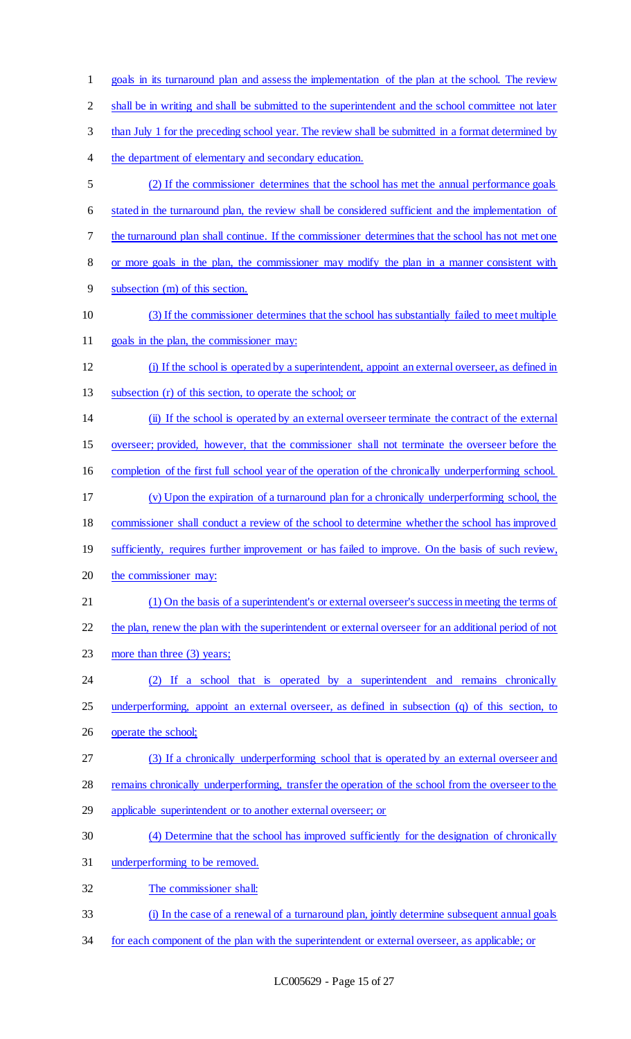goals in its turnaround plan and assess the implementation of the plan at the school. The review shall be in writing and shall be submitted to the superintendent and the school committee not later than July 1 for the preceding school year. The review shall be submitted in a format determined by the department of elementary and secondary education. (2) If the commissioner determines that the school has met the annual performance goals stated in the turnaround plan, the review shall be considered sufficient and the implementation of the turnaround plan shall continue. If the commissioner determines that the school has not met one or more goals in the plan, the commissioner may modify the plan in a manner consistent with subsection (m) of this section. (3) If the commissioner determines that the school has substantially failed to meet multiple goals in the plan, the commissioner may: (i) If the school is operated by a superintendent, appoint an external overseer, as defined in subsection (r) of this section, to operate the school; or (ii) If the school is operated by an external overseer terminate the contract of the external overseer; provided, however, that the commissioner shall not terminate the overseer before the completion of the first full school year of the operation of the chronically underperforming school. (v) Upon the expiration of a turnaround plan for a chronically underperforming school, the commissioner shall conduct a review of the school to determine whether the school has improved 19 sufficiently, requires further improvement or has failed to improve. On the basis of such review, 20 the commissioner may: (1) On the basis of a superintendent's or external overseer's success in meeting the terms of 22 the plan, renew the plan with the superintendent or external overseer for an additional period of not 23 more than three (3) years; (2) If a school that is operated by a superintendent and remains chronically 25 underperforming, appoint an external overseer, as defined in subsection (q) of this section, to 26 operate the school; (3) If a chronically underperforming school that is operated by an external overseer and 28 remains chronically underperforming, transfer the operation of the school from the overseer to the 29 applicable superintendent or to another external overseer; or (4) Determine that the school has improved sufficiently for the designation of chronically underperforming to be removed. The commissioner shall: (i) In the case of a renewal of a turnaround plan, jointly determine subsequent annual goals for each component of the plan with the superintendent or external overseer, as applicable; or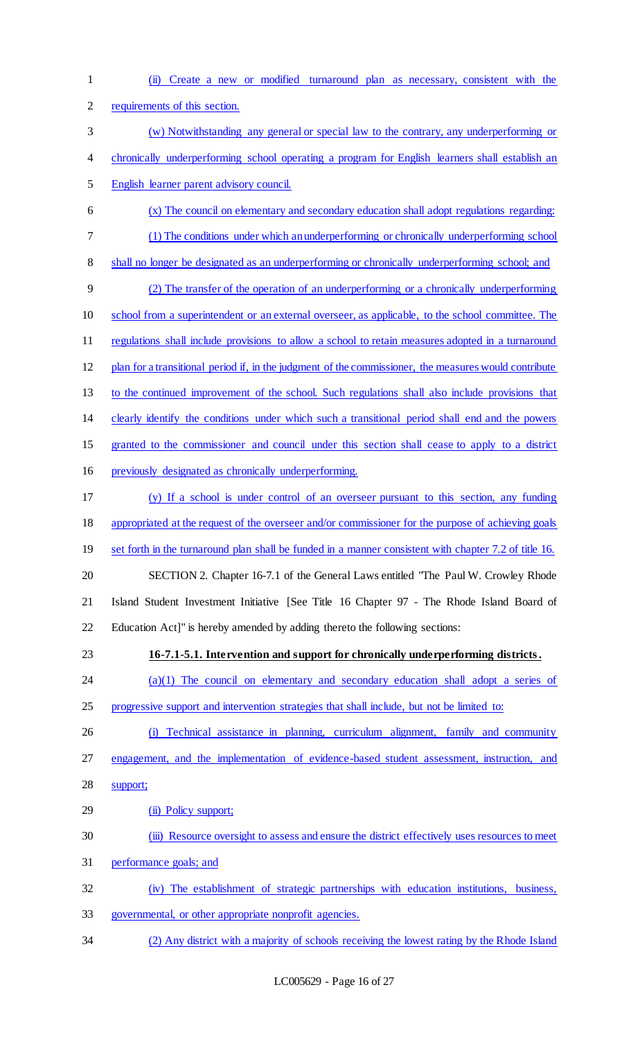(ii) Create a new or modified turnaround plan as necessary, consistent with the requirements of this section. (w) Notwithstanding any general or special law to the contrary, any underperforming or 4 chronically underperforming school operating a program for English learners shall establish an English learner parent advisory council. (x) The council on elementary and secondary education shall adopt regulations regarding: (1) The conditions under which an underperforming or chronically underperforming school 8 shall no longer be designated as an underperforming or chronically underperforming school; and (2) The transfer of the operation of an underperforming or a chronically underperforming school from a superintendent or an external overseer, as applicable, to the school committee. The 11 regulations shall include provisions to allow a school to retain measures adopted in a turnaround plan for a transitional period if, in the judgment of the commissioner, the measures would contribute to the continued improvement of the school. Such regulations shall also include provisions that clearly identify the conditions under which such a transitional period shall end and the powers granted to the commissioner and council under this section shall cease to apply to a district previously designated as chronically underperforming. (y) If a school is under control of an overseer pursuant to this section, any funding appropriated at the request of the overseer and/or commissioner for the purpose of achieving goals 19 set forth in the turnaround plan shall be funded in a manner consistent with chapter 7.2 of title 16. SECTION 2. Chapter 16-7.1 of the General Laws entitled "The Paul W. Crowley Rhode Island Student Investment Initiative [See Title 16 Chapter 97 - The Rhode Island Board of Education Act]" is hereby amended by adding thereto the following sections: **16-7.1-5.1. Intervention and support for chronically underperforming districts.** (a)(1) The council on elementary and secondary education shall adopt a series of progressive support and intervention strategies that shall include, but not be limited to: (i) Technical assistance in planning, curriculum alignment, family and community engagement, and the implementation of evidence-based student assessment, instruction, and support; 29 (ii) Policy support; (iii) Resource oversight to assess and ensure the district effectively uses resources to meet performance goals; and (iv) The establishment of strategic partnerships with education institutions, business, governmental, or other appropriate nonprofit agencies. (2) Any district with a majority of schools receiving the lowest rating by the Rhode Island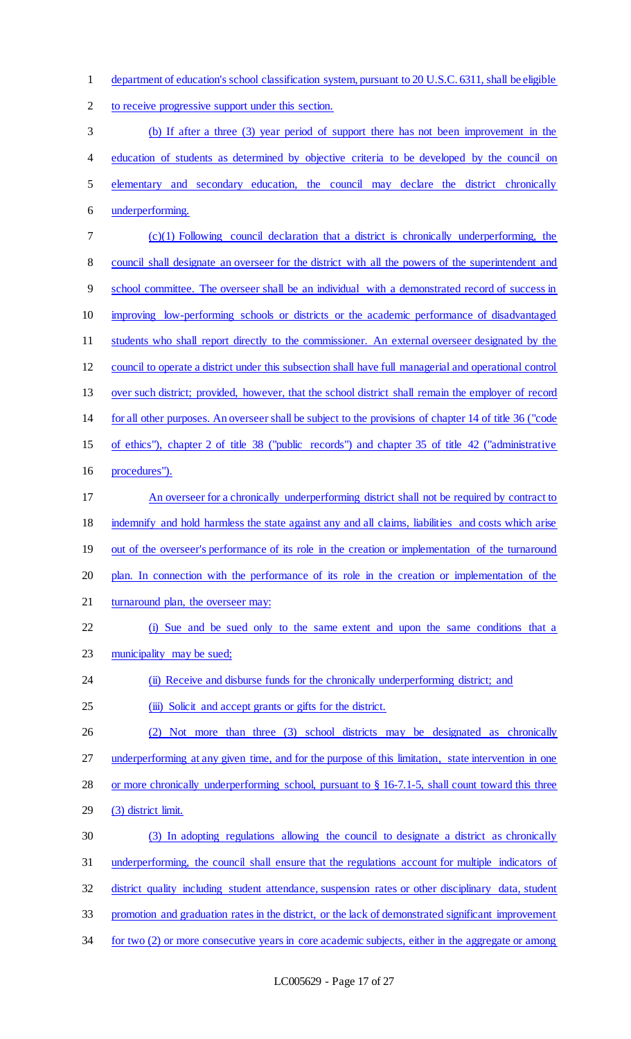department of education's school classification system, pursuant to 20 U.S.C. 6311, shall be eligible

to receive progressive support under this section.

 (b) If after a three (3) year period of support there has not been improvement in the 4 education of students as determined by objective criteria to be developed by the council on elementary and secondary education, the council may declare the district chronically underperforming.

 (c)(1) Following council declaration that a district is chronically underperforming, the council shall designate an overseer for the district with all the powers of the superintendent and school committee. The overseer shall be an individual with a demonstrated record of success in improving low-performing schools or districts or the academic performance of disadvantaged 11 students who shall report directly to the commissioner. An external overseer designated by the council to operate a district under this subsection shall have full managerial and operational control over such district; provided, however, that the school district shall remain the employer of record for all other purposes. An overseer shall be subject to the provisions of chapter 14 of title 36 ("code of ethics"), chapter 2 of title 38 ("public records") and chapter 35 of title 42 ("administrative procedures"). An overseer for a chronically underperforming district shall not be required by contract to indemnify and hold harmless the state against any and all claims, liabilities and costs which arise 19 out of the overseer's performance of its role in the creation or implementation of the turnaround

plan. In connection with the performance of its role in the creation or implementation of the

21 turnaround plan, the overseer may:

 (i) Sue and be sued only to the same extent and upon the same conditions that a 23 municipality may be sued;

(ii) Receive and disburse funds for the chronically underperforming district; and

25 (iii) Solicit and accept grants or gifts for the district.

 (2) Not more than three (3) school districts may be designated as chronically underperforming at any given time, and for the purpose of this limitation, state intervention in one

or more chronically underperforming school, pursuant to § 16-7.1-5, shall count toward this three

(3) district limit.

(3) In adopting regulations allowing the council to designate a district as chronically

underperforming, the council shall ensure that the regulations account for multiple indicators of

district quality including student attendance, suspension rates or other disciplinary data, student

promotion and graduation rates in the district, or the lack of demonstrated significant improvement

34 for two (2) or more consecutive years in core academic subjects, either in the aggregate or among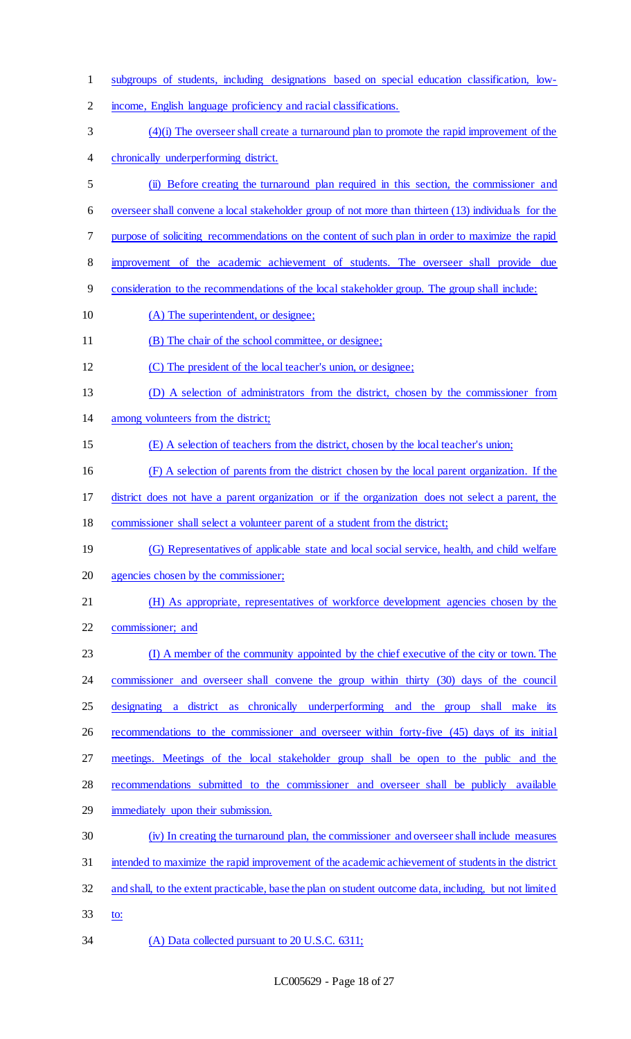| $\mathbf{1}$   | subgroups of students, including designations based on special education classification, low-           |
|----------------|---------------------------------------------------------------------------------------------------------|
| $\overline{2}$ | income, English language proficiency and racial classifications.                                        |
| 3              | $(4)(i)$ The overseer shall create a turnaround plan to promote the rapid improvement of the            |
| 4              | chronically underperforming district.                                                                   |
| 5              | (ii) Before creating the turnaround plan required in this section, the commissioner and                 |
| 6              | overseer shall convene a local stakeholder group of not more than thirteen (13) individuals for the     |
| 7              | purpose of soliciting recommendations on the content of such plan in order to maximize the rapid        |
| 8              | improvement of the academic achievement of students. The overseer shall provide due                     |
| 9              | consideration to the recommendations of the local stakeholder group. The group shall include:           |
| 10             | (A) The superintendent, or designee;                                                                    |
| 11             | (B) The chair of the school committee, or designee;                                                     |
| 12             | (C) The president of the local teacher's union, or designee;                                            |
| 13             | (D) A selection of administrators from the district, chosen by the commissioner from                    |
| 14             | among volunteers from the district;                                                                     |
| 15             | (E) A selection of teachers from the district, chosen by the local teacher's union;                     |
| 16             | (F) A selection of parents from the district chosen by the local parent organization. If the            |
| 17             | district does not have a parent organization or if the organization does not select a parent, the       |
| 18             | commissioner shall select a volunteer parent of a student from the district;                            |
| 19             | (G) Representatives of applicable state and local social service, health, and child welfare             |
| 20             | agencies chosen by the commissioner;                                                                    |
| 21             | (H) As appropriate, representatives of workforce development agencies chosen by the                     |
| 22             | commissioner; and                                                                                       |
| 23             | (I) A member of the community appointed by the chief executive of the city or town. The                 |
| 24             | commissioner and overseer shall convene the group within thirty (30) days of the council                |
| 25             | a district as chronically underperforming and the group shall make its<br>designating                   |
| 26             | recommendations to the commissioner and overseer within forty-five (45) days of its initial             |
| 27             | meetings. Meetings of the local stakeholder group shall be open to the public and the                   |
| 28             | recommendations submitted to the commissioner and overseer shall be publicly available                  |
| 29             | immediately upon their submission.                                                                      |
| 30             | (iv) In creating the turnaround plan, the commissioner and overseer shall include measures              |
| 31             | intended to maximize the rapid improvement of the academic achievement of students in the district      |
| 32             | and shall, to the extent practicable, base the plan on student outcome data, including, but not limited |
| 33             | to:                                                                                                     |
|                |                                                                                                         |

(A) Data collected pursuant to 20 U.S.C. 6311;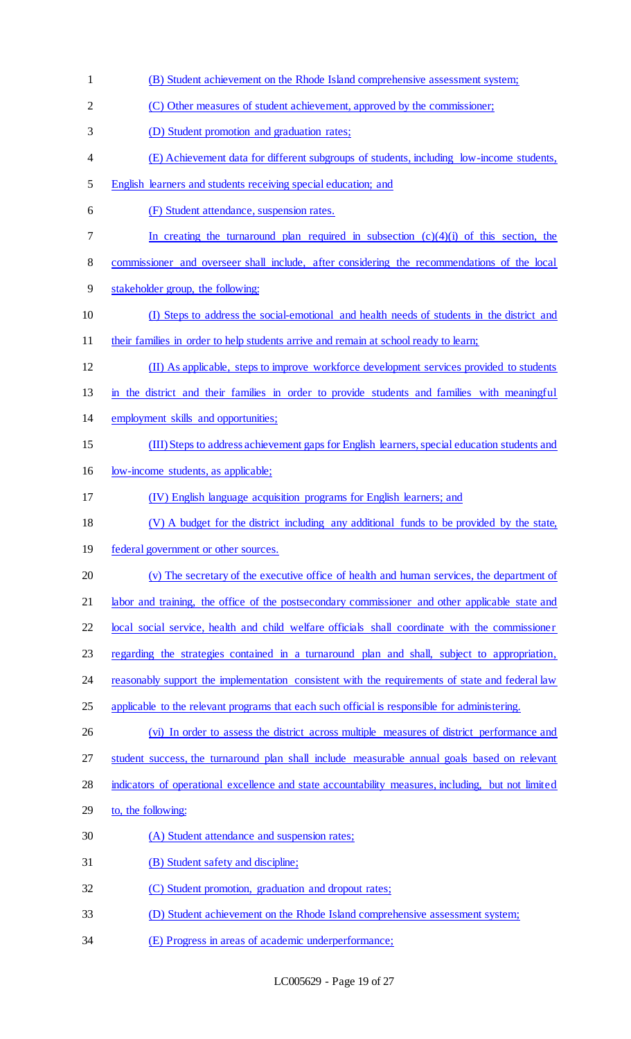(B) Student achievement on the Rhode Island comprehensive assessment system; (C) Other measures of student achievement, approved by the commissioner; (D) Student promotion and graduation rates; (E) Achievement data for different subgroups of students, including low-income students, English learners and students receiving special education; and (F) Student attendance, suspension rates. In creating the turnaround plan required in subsection (c)(4)(i) of this section, the commissioner and overseer shall include, after considering the recommendations of the local stakeholder group, the following: (I) Steps to address the social-emotional and health needs of students in the district and 11 their families in order to help students arrive and remain at school ready to learn; (II) As applicable, steps to improve workforce development services provided to students in the district and their families in order to provide students and families with meaningful employment skills and opportunities; (III) Steps to address achievement gaps for English learners, special education students and low-income students, as applicable; (IV) English language acquisition programs for English learners; and (V) A budget for the district including any additional funds to be provided by the state, federal government or other sources. (v) The secretary of the executive office of health and human services, the department of 21 labor and training, the office of the postsecondary commissioner and other applicable state and local social service, health and child welfare officials shall coordinate with the commissioner regarding the strategies contained in a turnaround plan and shall, subject to appropriation, 24 reasonably support the implementation consistent with the requirements of state and federal law 25 applicable to the relevant programs that each such official is responsible for administering. (vi) In order to assess the district across multiple measures of district performance and 27 student success, the turnaround plan shall include measurable annual goals based on relevant indicators of operational excellence and state accountability measures, including, but not limited to, the following: (A) Student attendance and suspension rates; (B) Student safety and discipline; (C) Student promotion, graduation and dropout rates; (D) Student achievement on the Rhode Island comprehensive assessment system; (E) Progress in areas of academic underperformance;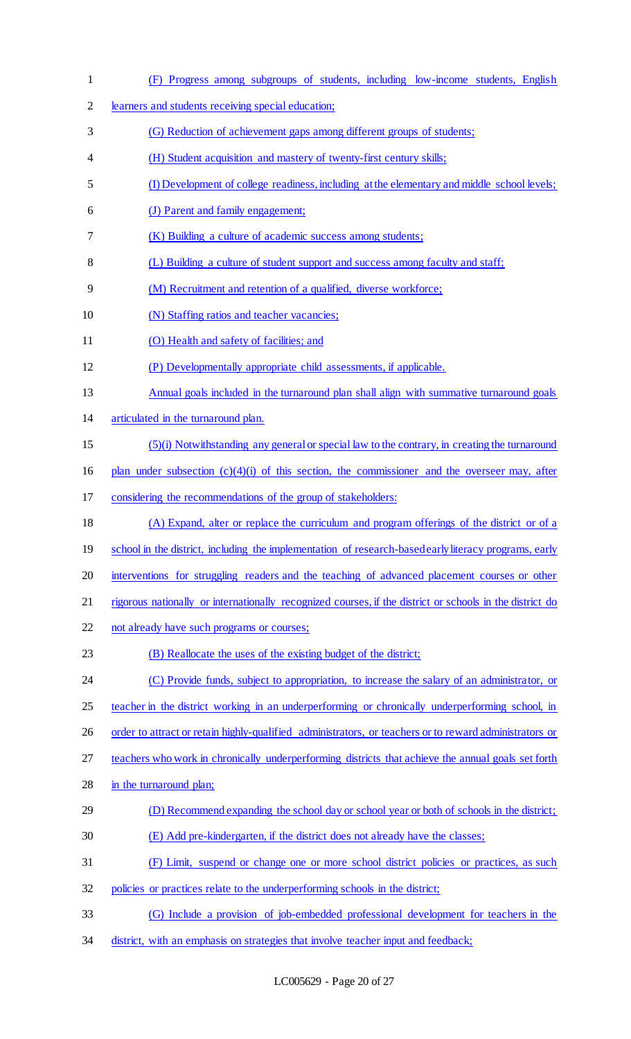| $\mathbf{1}$   | (F) Progress among subgroups of students, including low-income students, English                         |
|----------------|----------------------------------------------------------------------------------------------------------|
| $\overline{2}$ | learners and students receiving special education;                                                       |
| 3              | (G) Reduction of achievement gaps among different groups of students;                                    |
| 4              | (H) Student acquisition and mastery of twenty-first century skills;                                      |
| 5              | (I) Development of college readiness, including at the elementary and middle school levels;              |
| 6              | (J) Parent and family engagement;                                                                        |
| 7              | (K) Building a culture of academic success among students;                                               |
| 8              | (L) Building a culture of student support and success among faculty and staff;                           |
| 9              | (M) Recruitment and retention of a qualified, diverse workforce;                                         |
| 10             | (N) Staffing ratios and teacher vacancies;                                                               |
| 11             | (O) Health and safety of facilities; and                                                                 |
| 12             | (P) Developmentally appropriate child assessments, if applicable.                                        |
| 13             | Annual goals included in the turnaround plan shall align with summative turnaround goals                 |
| 14             | articulated in the turnaround plan.                                                                      |
| 15             | (5)(i) Notwithstanding any general or special law to the contrary, in creating the turnaround            |
| 16             | plan under subsection $(c)(4)(i)$ of this section, the commissioner and the overseer may, after          |
| 17             | considering the recommendations of the group of stakeholders:                                            |
| 18             | (A) Expand, alter or replace the curriculum and program offerings of the district or of a                |
| 19             | school in the district, including the implementation of research-based early literacy programs, early    |
| 20             | interventions for struggling readers and the teaching of advanced placement courses or other             |
| 21             | rigorous nationally or internationally recognized courses, if the district or schools in the district do |
| 22             | not already have such programs or courses;                                                               |
| 23             | (B) Reallocate the uses of the existing budget of the district;                                          |
| 24             | (C) Provide funds, subject to appropriation, to increase the salary of an administrator, or              |
| 25             | teacher in the district working in an underperforming or chronically underperforming school, in          |
| 26             | order to attract or retain highly-qualified administrators, or teachers or to reward administrators or   |
| 27             | teachers who work in chronically underperforming districts that achieve the annual goals set forth       |
| 28             | in the turnaround plan;                                                                                  |
| 29             | (D) Recommend expanding the school day or school year or both of schools in the district;                |
| 30             | (E) Add pre-kindergarten, if the district does not already have the classes;                             |
| 31             | (F) Limit, suspend or change one or more school district policies or practices, as such                  |
| 32             | policies or practices relate to the underperforming schools in the district;                             |
| 33             | (G) Include a provision of job-embedded professional development for teachers in the                     |
| 34             | district, with an emphasis on strategies that involve teacher input and feedback;                        |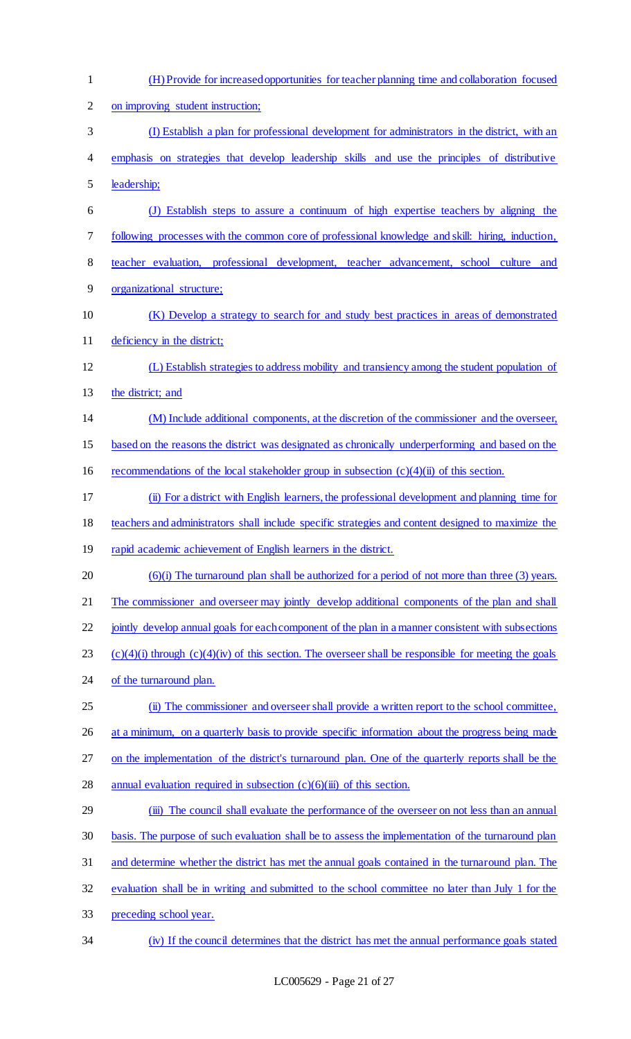| $\mathbf{1}$   | (H) Provide for increased opportunities for teacher planning time and collaboration focused                  |
|----------------|--------------------------------------------------------------------------------------------------------------|
| $\overline{2}$ | on improving student instruction;                                                                            |
| 3              | (I) Establish a plan for professional development for administrators in the district, with an                |
| 4              | emphasis on strategies that develop leadership skills and use the principles of distributive                 |
| 5              | leadership;                                                                                                  |
| 6              | (J) Establish steps to assure a continuum of high expertise teachers by aligning the                         |
| 7              | following processes with the common core of professional knowledge and skill: hiring, induction,             |
| 8              | teacher evaluation, professional development, teacher advancement, school culture and                        |
| 9              | organizational structure;                                                                                    |
| 10             | (K) Develop a strategy to search for and study best practices in areas of demonstrated                       |
| 11             | deficiency in the district;                                                                                  |
| 12             | (L) Establish strategies to address mobility and transiency among the student population of                  |
| 13             | the district; and                                                                                            |
| 14             | (M) Include additional components, at the discretion of the commissioner and the overseer,                   |
| 15             | based on the reasons the district was designated as chronically underperforming and based on the             |
| 16             | recommendations of the local stakeholder group in subsection $(c)(4)(ii)$ of this section.                   |
| 17             | (ii) For a district with English learners, the professional development and planning time for                |
| 18             | teachers and administrators shall include specific strategies and content designed to maximize the           |
| 19             | rapid academic achievement of English learners in the district.                                              |
| 20             | $(6)(i)$ The turnaround plan shall be authorized for a period of not more than three $(3)$ years.            |
| 21             | The commissioner and overseer may jointly develop additional components of the plan and shall                |
| 22             | jointly develop annual goals for each component of the plan in a manner consistent with subsections          |
| 23             | $(c)(4)(i)$ through $(c)(4)(iv)$ of this section. The overseer shall be responsible for meeting the goals    |
| 24             | of the turnaround plan.                                                                                      |
| 25             | (ii) The commissioner and overseer shall provide a written report to the school committee,                   |
| 26             | at a minimum, on a quarterly basis to provide specific information about the progress being made             |
| 27             | on the implementation of the district's turnaround plan. One of the quarterly reports shall be the           |
| 28             | annual evaluation required in subsection $(c)(6)(iii)$ of this section.                                      |
| 29             | The council shall evaluate the performance of the overseer on not less than an annual<br>$\ddot{\mathbf{m}}$ |
| 30             | basis. The purpose of such evaluation shall be to assess the implementation of the turnaround plan           |
| 31             | and determine whether the district has met the annual goals contained in the turnaround plan. The            |
| 32             | evaluation shall be in writing and submitted to the school committee no later than July 1 for the            |
| 33             | preceding school year.                                                                                       |
| 34             | (iv) If the council determines that the district has met the annual performance goals stated                 |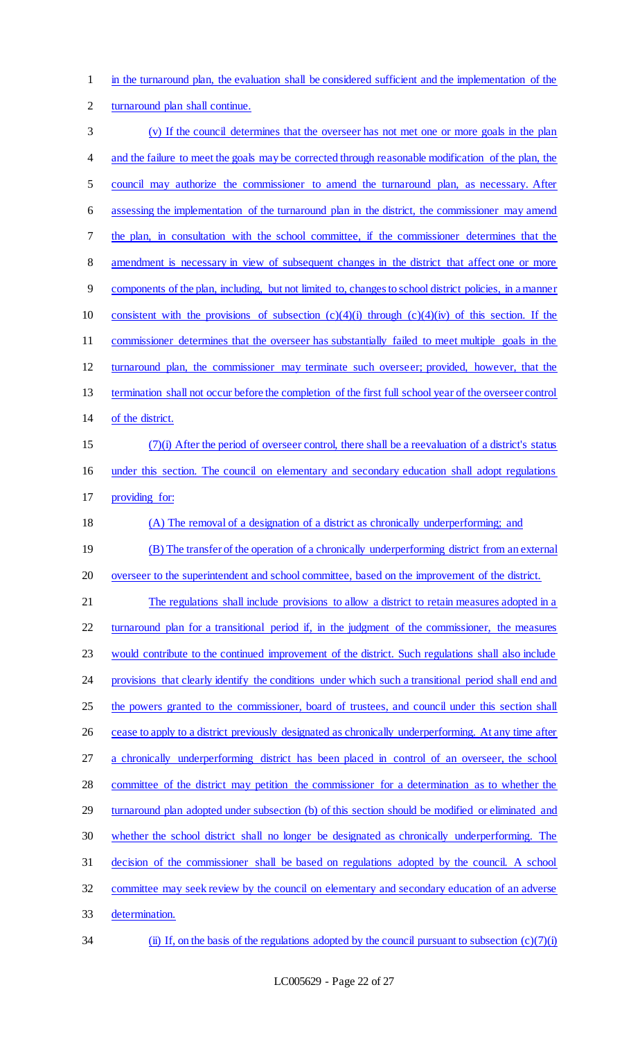1 in the turnaround plan, the evaluation shall be considered sufficient and the implementation of the 2 turnaround plan shall continue.

| 3              | (v) If the council determines that the overseer has not met one or more goals in the plan               |
|----------------|---------------------------------------------------------------------------------------------------------|
| 4              | and the failure to meet the goals may be corrected through reasonable modification of the plan, the     |
| 5              | council may authorize the commissioner to amend the turnaround plan, as necessary. After                |
| 6              | assessing the implementation of the turnaround plan in the district, the commissioner may amend         |
| 7              | the plan, in consultation with the school committee, if the commissioner determines that the            |
| 8              | amendment is necessary in view of subsequent changes in the district that affect one or more            |
| $\overline{9}$ | components of the plan, including, but not limited to, changes to school district policies, in a manner |
| 10             | consistent with the provisions of subsection $(c)(4)(i)$ through $(c)(4)(iv)$ of this section. If the   |
| 11             | commissioner determines that the overseer has substantially failed to meet multiple goals in the        |
| 12             | turnaround plan, the commissioner may terminate such overseer; provided, however, that the              |
| 13             | termination shall not occur before the completion of the first full school year of the overseer control |
| 14             | of the district.                                                                                        |
| 15             | $(7)(i)$ After the period of overseer control, there shall be a reevaluation of a district's status     |
| 16             | under this section. The council on elementary and secondary education shall adopt regulations           |
| 17             | providing for:                                                                                          |
| 18             | (A) The removal of a designation of a district as chronically underperforming; and                      |
| 19             | (B) The transfer of the operation of a chronically underperforming district from an external            |
| 20             | overseer to the superintendent and school committee, based on the improvement of the district.          |
| 21             | The regulations shall include provisions to allow a district to retain measures adopted in a            |
| 22             | turnaround plan for a transitional period if, in the judgment of the commissioner, the measures         |
| 23             | would contribute to the continued improvement of the district. Such regulations shall also include      |
| 24             | provisions that clearly identify the conditions under which such a transitional period shall end and    |
| 25             | the powers granted to the commissioner, board of trustees, and council under this section shall         |
| 26             | cease to apply to a district previously designated as chronically underperforming. At any time after    |
| 27             | a chronically underperforming district has been placed in control of an overseer, the school            |
| 28             | committee of the district may petition the commissioner for a determination as to whether the           |
| 29             | turnaround plan adopted under subsection (b) of this section should be modified or eliminated and       |
| 30             | whether the school district shall no longer be designated as chronically underperforming. The           |
| 31             | decision of the commissioner shall be based on regulations adopted by the council. A school             |
| 32             | committee may seek review by the council on elementary and secondary education of an adverse            |
| 33             | determination.                                                                                          |
| 34             | (ii) If, on the basis of the regulations adopted by the council pursuant to subsection $(c)(7)(i)$      |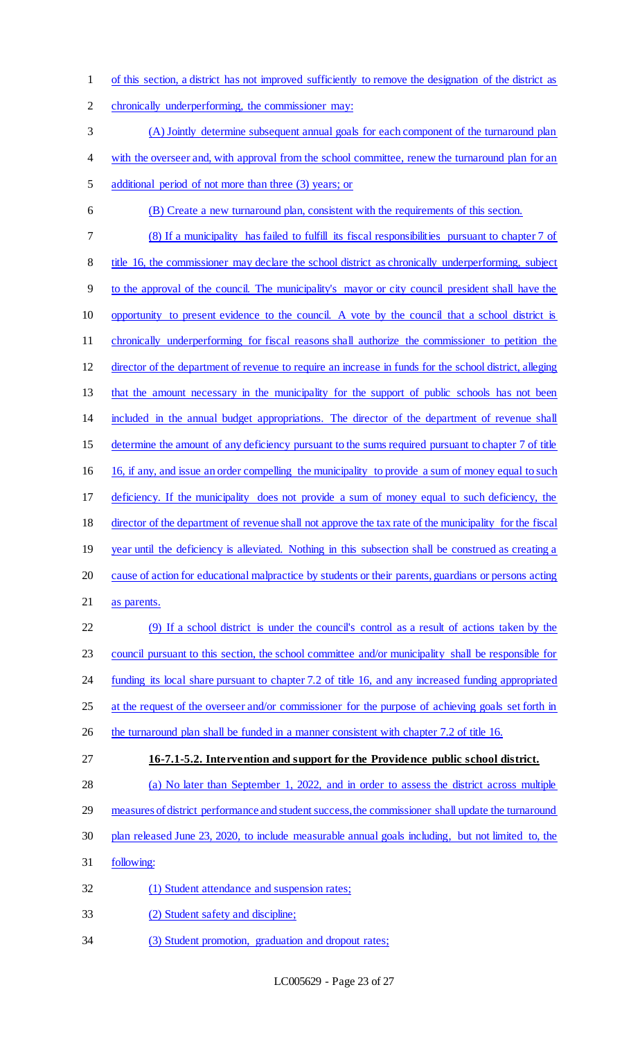of this section, a district has not improved sufficiently to remove the designation of the district as chronically underperforming, the commissioner may: (A) Jointly determine subsequent annual goals for each component of the turnaround plan 4 with the overseer and, with approval from the school committee, renew the turnaround plan for an additional period of not more than three (3) years; or (B) Create a new turnaround plan, consistent with the requirements of this section. (8) If a municipality has failed to fulfill its fiscal responsibilities pursuant to chapter 7 of 8 title 16, the commissioner may declare the school district as chronically underperforming, subject to the approval of the council. The municipality's mayor or city council president shall have the opportunity to present evidence to the council. A vote by the council that a school district is chronically underperforming for fiscal reasons shall authorize the commissioner to petition the director of the department of revenue to require an increase in funds for the school district, alleging that the amount necessary in the municipality for the support of public schools has not been included in the annual budget appropriations. The director of the department of revenue shall determine the amount of any deficiency pursuant to the sums required pursuant to chapter 7 of title 16, if any, and issue an order compelling the municipality to provide a sum of money equal to such deficiency. If the municipality does not provide a sum of money equal to such deficiency, the director of the department of revenue shall not approve the tax rate of the municipality for the fiscal 19 year until the deficiency is alleviated. Nothing in this subsection shall be construed as creating a cause of action for educational malpractice by students or their parents, guardians or persons acting as parents. (9) If a school district is under the council's control as a result of actions taken by the council pursuant to this section, the school committee and/or municipality shall be responsible for funding its local share pursuant to chapter 7.2 of title 16, and any increased funding appropriated 25 at the request of the overseer and/or commissioner for the purpose of achieving goals set forth in 26 the turnaround plan shall be funded in a manner consistent with chapter 7.2 of title 16. **16-7.1-5.2. Intervention and support for the Providence public school district.** (a) No later than September 1, 2022, and in order to assess the district across multiple measures of district performance and student success, the commissioner shall update the turnaround plan released June 23, 2020, to include measurable annual goals including, but not limited to, the following: (1) Student attendance and suspension rates; (2) Student safety and discipline; (3) Student promotion, graduation and dropout rates;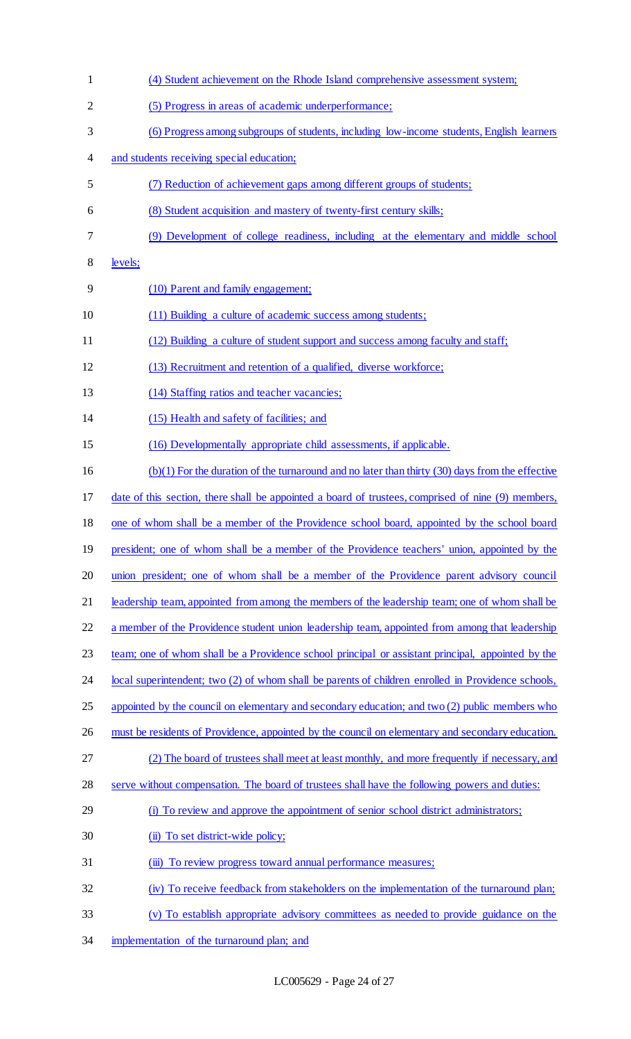(4) Student achievement on the Rhode Island comprehensive assessment system; (5) Progress in areas of academic underperformance; (6) Progress among subgroups of students, including low-income students, English learners and students receiving special education; (7) Reduction of achievement gaps among different groups of students; (8) Student acquisition and mastery of twenty-first century skills; (9) Development of college readiness, including at the elementary and middle school levels; (10) Parent and family engagement; (11) Building a culture of academic success among students; (12) Building a culture of student support and success among faculty and staff; (13) Recruitment and retention of a qualified, diverse workforce; 13 (14) Staffing ratios and teacher vacancies; (15) Health and safety of facilities; and (16) Developmentally appropriate child assessments, if applicable. (b)(1) For the duration of the turnaround and no later than thirty (30) days from the effective date of this section, there shall be appointed a board of trustees, comprised of nine (9) members, one of whom shall be a member of the Providence school board, appointed by the school board 19 president; one of whom shall be a member of the Providence teachers' union, appointed by the union president; one of whom shall be a member of the Providence parent advisory council leadership team, appointed from among the members of the leadership team; one of whom shall be 22 a member of the Providence student union leadership team, appointed from among that leadership team; one of whom shall be a Providence school principal or assistant principal, appointed by the 24 local superintendent; two (2) of whom shall be parents of children enrolled in Providence schools, 25 appointed by the council on elementary and secondary education; and two (2) public members who 26 must be residents of Providence, appointed by the council on elementary and secondary education. (2) The board of trustees shall meet at least monthly, and more frequently if necessary, and serve without compensation. The board of trustees shall have the following powers and duties: 29 (i) To review and approve the appointment of senior school district administrators; 30 (ii) To set district-wide policy; 31 (iii) To review progress toward annual performance measures; (iv) To receive feedback from stakeholders on the implementation of the turnaround plan; (v) To establish appropriate advisory committees as needed to provide guidance on the 34 implementation of the turnaround plan; and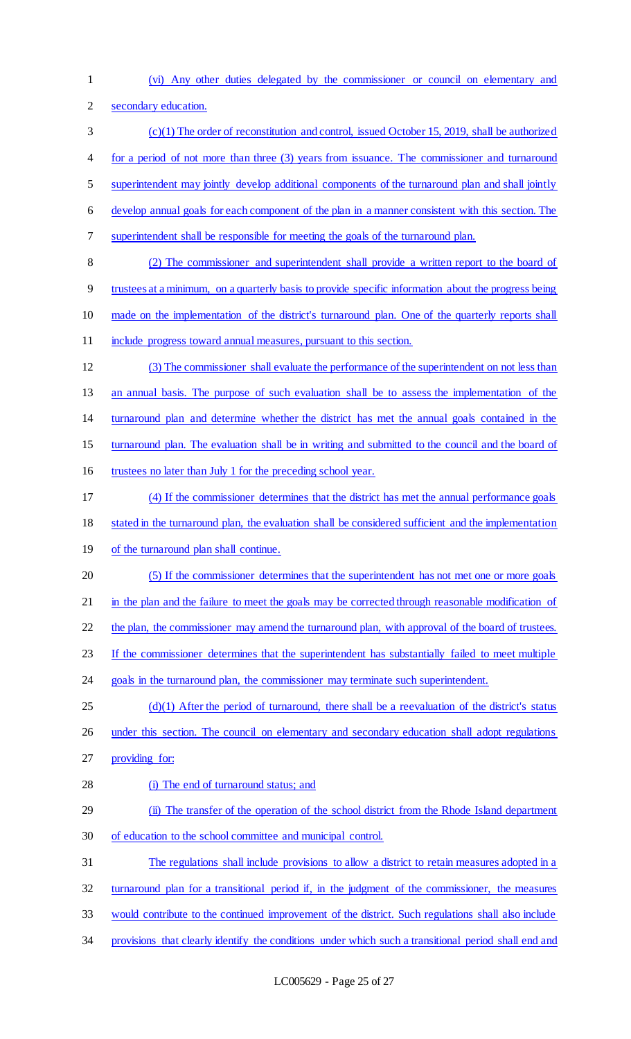- (vi) Any other duties delegated by the commissioner or council on elementary and
- secondary education.
- (c)(1) The order of reconstitution and control, issued October 15, 2019, shall be authorized for a period of not more than three (3) years from issuance. The commissioner and turnaround superintendent may jointly develop additional components of the turnaround plan and shall jointly develop annual goals for each component of the plan in a manner consistent with this section. The superintendent shall be responsible for meeting the goals of the turnaround plan.
- (2) The commissioner and superintendent shall provide a written report to the board of trustees at a minimum, on a quarterly basis to provide specific information about the progress being made on the implementation of the district's turnaround plan. One of the quarterly reports shall include progress toward annual measures, pursuant to this section.
- (3) The commissioner shall evaluate the performance of the superintendent on not less than an annual basis. The purpose of such evaluation shall be to assess the implementation of the turnaround plan and determine whether the district has met the annual goals contained in the turnaround plan. The evaluation shall be in writing and submitted to the council and the board of
- trustees no later than July 1 for the preceding school year.
- (4) If the commissioner determines that the district has met the annual performance goals
- stated in the turnaround plan, the evaluation shall be considered sufficient and the implementation
- 19 of the turnaround plan shall continue.
- (5) If the commissioner determines that the superintendent has not met one or more goals
- 21 in the plan and the failure to meet the goals may be corrected through reasonable modification of
- 22 the plan, the commissioner may amend the turnaround plan, with approval of the board of trustees.
- If the commissioner determines that the superintendent has substantially failed to meet multiple
- goals in the turnaround plan, the commissioner may terminate such superintendent.
- (d)(1) After the period of turnaround, there shall be a reevaluation of the district's status 26 under this section. The council on elementary and secondary education shall adopt regulations
- providing for:
- (i) The end of turnaround status; and
- (ii) The transfer of the operation of the school district from the Rhode Island department of education to the school committee and municipal control.
- The regulations shall include provisions to allow a district to retain measures adopted in a
- turnaround plan for a transitional period if, in the judgment of the commissioner, the measures
- would contribute to the continued improvement of the district. Such regulations shall also include
- provisions that clearly identify the conditions under which such a transitional period shall end and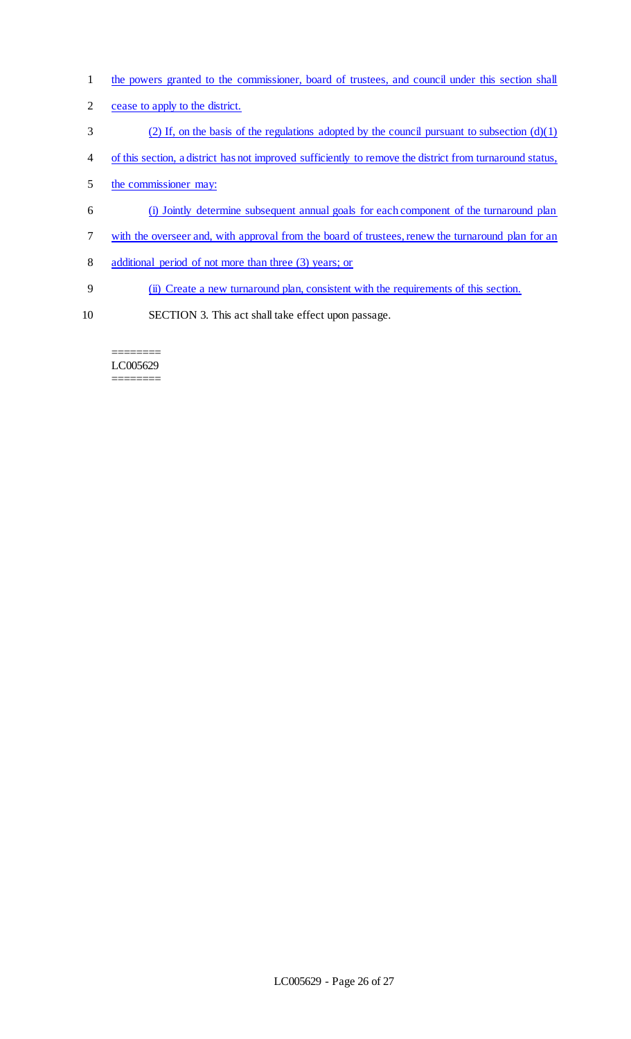- 1 the powers granted to the commissioner, board of trustees, and council under this section shall
- 2 cease to apply to the district.
- 3 (2) If, on the basis of the regulations adopted by the council pursuant to subsection  $(d)(1)$
- 4 of this section, a district has not improved sufficiently to remove the district from turnaround status,
- 5 the commissioner may:
- 6 (i) Jointly determine subsequent annual goals for each component of the turnaround plan
- 7 with the overseer and, with approval from the board of trustees, renew the turnaround plan for an
- 8 additional period of not more than three (3) years; or
- 9 (ii) Create a new turnaround plan, consistent with the requirements of this section.
- 10 SECTION 3. This act shall take effect upon passage.

#### ======== LC005629 ========